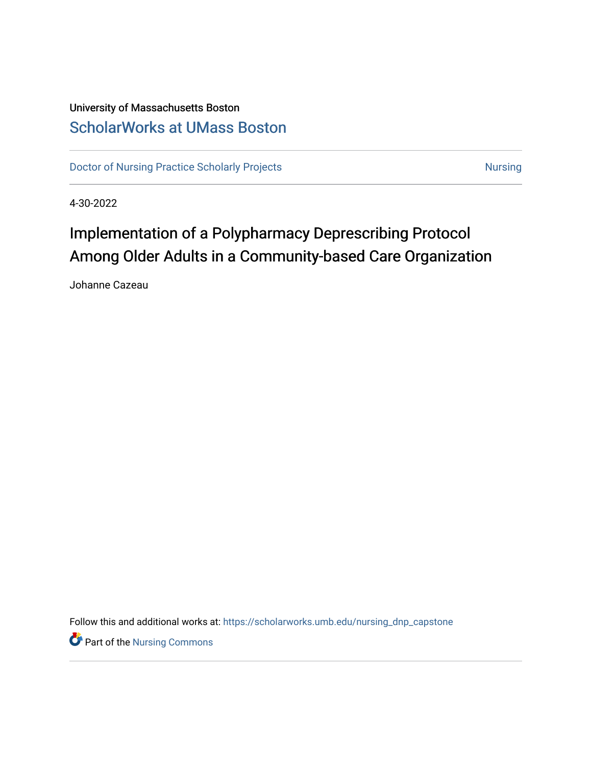# University of Massachusetts Boston [ScholarWorks at UMass Boston](https://scholarworks.umb.edu/)

[Doctor of Nursing Practice Scholarly Projects](https://scholarworks.umb.edu/nursing_dnp_capstone) **Nursing** Nursing

4-30-2022

# Implementation of a Polypharmacy Deprescribing Protocol Among Older Adults in a Community-based Care Organization

Johanne Cazeau

Follow this and additional works at: [https://scholarworks.umb.edu/nursing\\_dnp\\_capstone](https://scholarworks.umb.edu/nursing_dnp_capstone?utm_source=scholarworks.umb.edu%2Fnursing_dnp_capstone%2F23&utm_medium=PDF&utm_campaign=PDFCoverPages) 

**P** Part of the Nursing Commons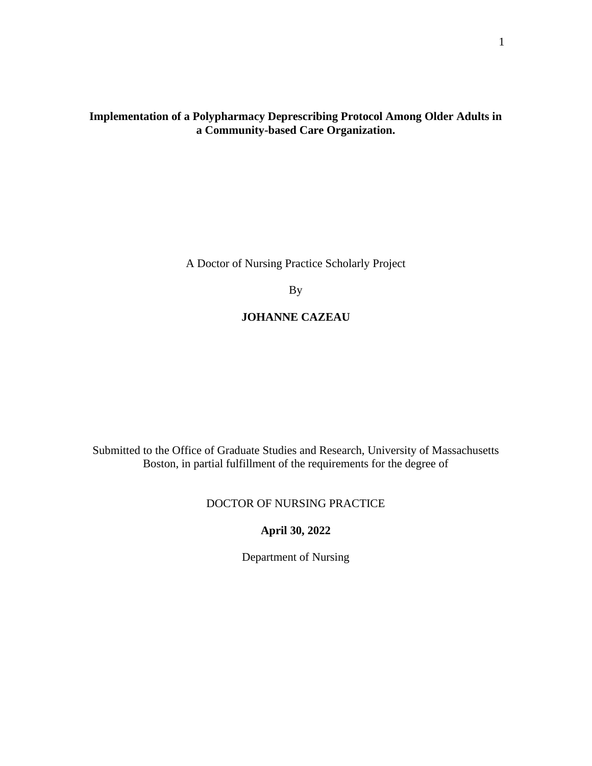# **Implementation of a Polypharmacy Deprescribing Protocol Among Older Adults in a Community-based Care Organization.**

A Doctor of Nursing Practice Scholarly Project

By

# **JOHANNE CAZEAU**

Submitted to the Office of Graduate Studies and Research, University of Massachusetts Boston, in partial fulfillment of the requirements for the degree of

## DOCTOR OF NURSING PRACTICE

# **April 30, 2022**

Department of Nursing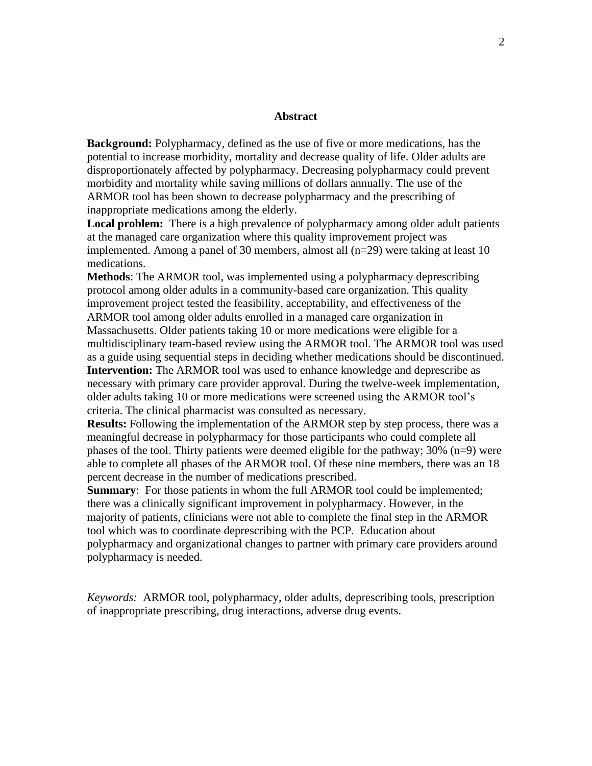#### **Abstract**

**Background:** Polypharmacy, defined as the use of five or more medications, has the potential to increase morbidity, mortality and decrease quality of life. Older adults are disproportionately affected by polypharmacy. Decreasing polypharmacy could prevent morbidity and mortality while saving millions of dollars annually. The use of the ARMOR tool has been shown to decrease polypharmacy and the prescribing of inappropriate medications among the elderly.

**Local problem:** There is a high prevalence of polypharmacy among older adult patients at the managed care organization where this quality improvement project was implemented. Among a panel of 30 members, almost all (n=29) were taking at least 10 medications.

**Methods**: The ARMOR tool, was implemented using a polypharmacy deprescribing protocol among older adults in a community-based care organization. This quality improvement project tested the feasibility, acceptability, and effectiveness of the ARMOR tool among older adults enrolled in a managed care organization in Massachusetts. Older patients taking 10 or more medications were eligible for a multidisciplinary team-based review using the ARMOR tool. The ARMOR tool was used as a guide using sequential steps in deciding whether medications should be discontinued. **Intervention:** The ARMOR tool was used to enhance knowledge and deprescribe as necessary with primary care provider approval. During the twelve-week implementation, older adults taking 10 or more medications were screened using the ARMOR tool's criteria. The clinical pharmacist was consulted as necessary.

**Results:** Following the implementation of the ARMOR step by step process, there was a meaningful decrease in polypharmacy for those participants who could complete all phases of the tool. Thirty patients were deemed eligible for the pathway; 30% (n=9) were able to complete all phases of the ARMOR tool. Of these nine members, there was an 18 percent decrease in the number of medications prescribed.

**Summary:** For those patients in whom the full ARMOR tool could be implemented; there was a clinically significant improvement in polypharmacy. However, in the majority of patients, clinicians were not able to complete the final step in the ARMOR tool which was to coordinate deprescribing with the PCP. Education about polypharmacy and organizational changes to partner with primary care providers around polypharmacy is needed.

*Keywords:* ARMOR tool, polypharmacy, older adults, deprescribing tools, prescription of inappropriate prescribing, drug interactions, adverse drug events.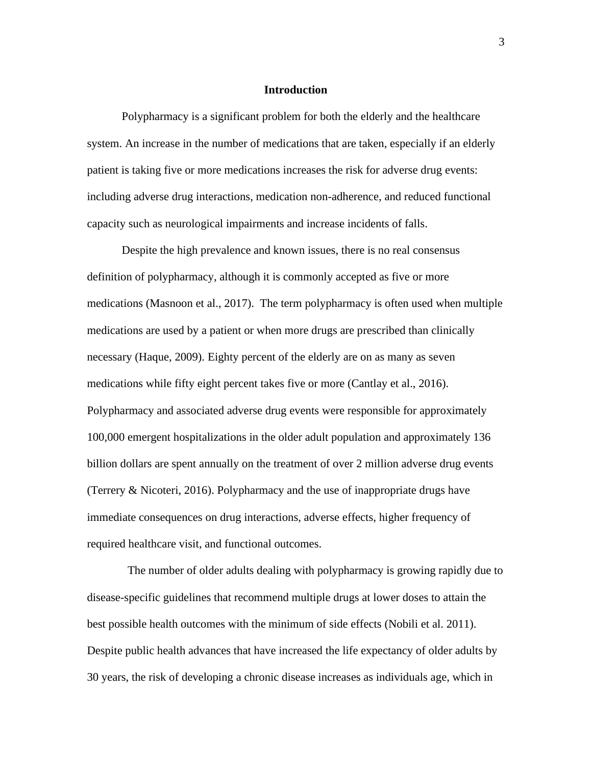#### **Introduction**

Polypharmacy is a significant problem for both the elderly and the healthcare system. An increase in the number of medications that are taken, especially if an elderly patient is taking five or more medications increases the risk for adverse drug events: including adverse drug interactions, medication non-adherence, and reduced functional capacity such as neurological impairments and increase incidents of falls.

Despite the high prevalence and known issues, there is no real consensus definition of polypharmacy, although it is commonly accepted as five or more medications (Masnoon et al., 2017). The term polypharmacy is often used when multiple medications are used by a patient or when more drugs are prescribed than clinically necessary (Haque, 2009). Eighty percent of the elderly are on as many as seven medications while fifty eight percent takes five or more (Cantlay et al., 2016). Polypharmacy and associated adverse drug events were responsible for approximately 100,000 emergent hospitalizations in the older adult population and approximately 136 billion dollars are spent annually on the treatment of over 2 million adverse drug events (Terrery & Nicoteri, 2016). Polypharmacy and the use of inappropriate drugs have immediate consequences on drug interactions, adverse effects, higher frequency of required healthcare visit, and functional outcomes.

 The number of older adults dealing with polypharmacy is growing rapidly due to disease-specific guidelines that recommend multiple drugs at lower doses to attain the best possible health outcomes with the minimum of side effects (Nobili et al. 2011). Despite public health advances that have increased the life expectancy of older adults by 30 years, the risk of developing a chronic disease increases as individuals age, which in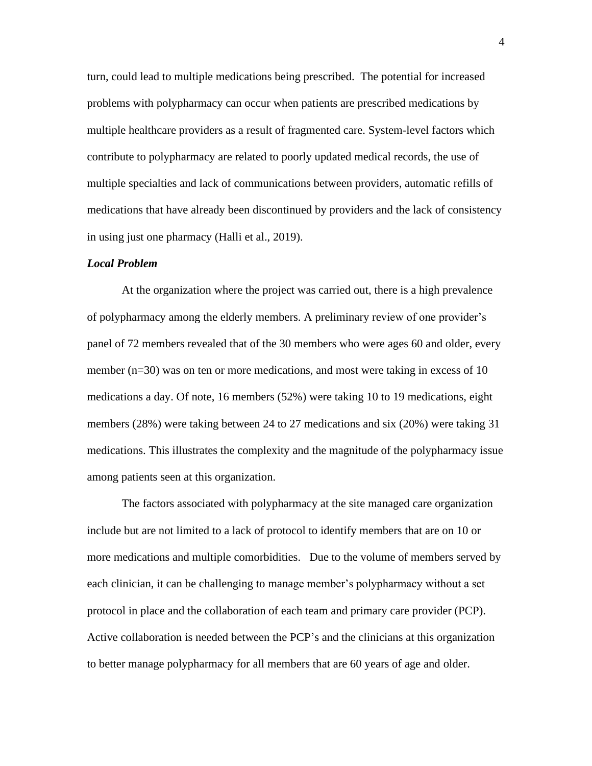turn, could lead to multiple medications being prescribed. The potential for increased problems with polypharmacy can occur when patients are prescribed medications by multiple healthcare providers as a result of fragmented care. System-level factors which contribute to polypharmacy are related to poorly updated medical records, the use of multiple specialties and lack of communications between providers, automatic refills of medications that have already been discontinued by providers and the lack of consistency in using just one pharmacy (Halli et al., 2019).

#### *Local Problem*

At the organization where the project was carried out, there is a high prevalence of polypharmacy among the elderly members. A preliminary review of one provider's panel of 72 members revealed that of the 30 members who were ages 60 and older, every member  $(n=30)$  was on ten or more medications, and most were taking in excess of 10 medications a day. Of note, 16 members (52%) were taking 10 to 19 medications, eight members (28%) were taking between 24 to 27 medications and six (20%) were taking 31 medications. This illustrates the complexity and the magnitude of the polypharmacy issue among patients seen at this organization.

The factors associated with polypharmacy at the site managed care organization include but are not limited to a lack of protocol to identify members that are on 10 or more medications and multiple comorbidities. Due to the volume of members served by each clinician, it can be challenging to manage member's polypharmacy without a set protocol in place and the collaboration of each team and primary care provider (PCP). Active collaboration is needed between the PCP's and the clinicians at this organization to better manage polypharmacy for all members that are 60 years of age and older.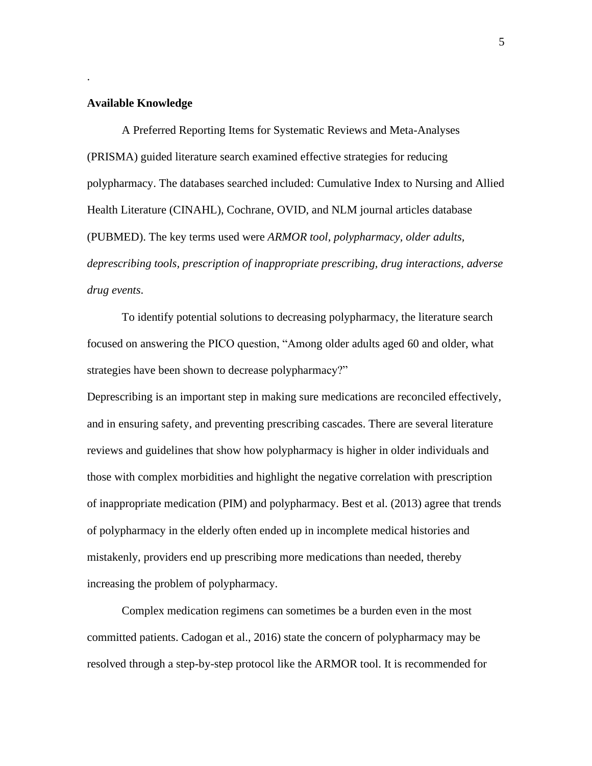#### **Available Knowledge**

.

A Preferred Reporting Items for Systematic Reviews and Meta-Analyses (PRISMA) guided literature search examined effective strategies for reducing polypharmacy. The databases searched included: Cumulative Index to Nursing and Allied Health Literature (CINAHL), Cochrane, OVID, and NLM journal articles database (PUBMED). The key terms used were *ARMOR tool, polypharmacy, older adults, deprescribing tools, prescription of inappropriate prescribing, drug interactions, adverse drug events*.

To identify potential solutions to decreasing polypharmacy, the literature search focused on answering the PICO question, "Among older adults aged 60 and older, what strategies have been shown to decrease polypharmacy?"

Deprescribing is an important step in making sure medications are reconciled effectively, and in ensuring safety, and preventing prescribing cascades. There are several literature reviews and guidelines that show how polypharmacy is higher in older individuals and those with complex morbidities and highlight the negative correlation with prescription of inappropriate medication (PIM) and polypharmacy. Best et al. (2013) agree that trends of polypharmacy in the elderly often ended up in incomplete medical histories and mistakenly, providers end up prescribing more medications than needed, thereby increasing the problem of polypharmacy.

Complex medication regimens can sometimes be a burden even in the most committed patients. Cadogan et al., 2016) state the concern of polypharmacy may be resolved through a step-by-step protocol like the ARMOR tool. It is recommended for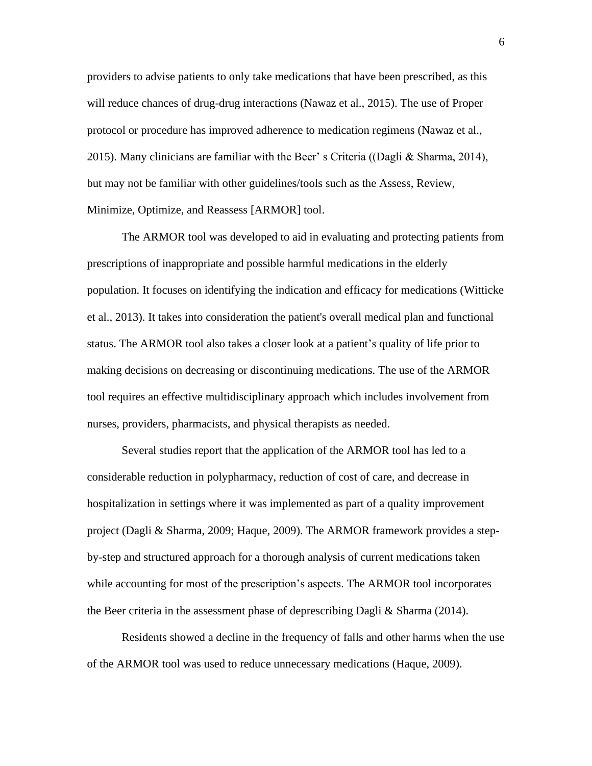providers to advise patients to only take medications that have been prescribed, as this will reduce chances of drug-drug interactions (Nawaz et al., 2015). The use of Proper protocol or procedure has improved adherence to medication regimens (Nawaz et al., 2015). Many clinicians are familiar with the Beer' s Criteria ((Dagli & Sharma, 2014), but may not be familiar with other guidelines/tools such as the Assess, Review, Minimize, Optimize, and Reassess [ARMOR] tool.

The ARMOR tool was developed to aid in evaluating and protecting patients from prescriptions of inappropriate and possible harmful medications in the elderly population. It focuses on identifying the indication and efficacy for medications (Witticke et al., 2013). It takes into consideration the patient's overall medical plan and functional status. The ARMOR tool also takes a closer look at a patient's quality of life prior to making decisions on decreasing or discontinuing medications. The use of the ARMOR tool requires an effective multidisciplinary approach which includes involvement from nurses, providers, pharmacists, and physical therapists as needed.

Several studies report that the application of the ARMOR tool has led to a considerable reduction in polypharmacy, reduction of cost of care, and decrease in hospitalization in settings where it was implemented as part of a quality improvement project (Dagli & Sharma, 2009; Haque, 2009). The ARMOR framework provides a stepby-step and structured approach for a thorough analysis of current medications taken while accounting for most of the prescription's aspects. The ARMOR tool incorporates the Beer criteria in the assessment phase of deprescribing Dagli & Sharma (2014).

Residents showed a decline in the frequency of falls and other harms when the use of the ARMOR tool was used to reduce unnecessary medications (Haque, 2009).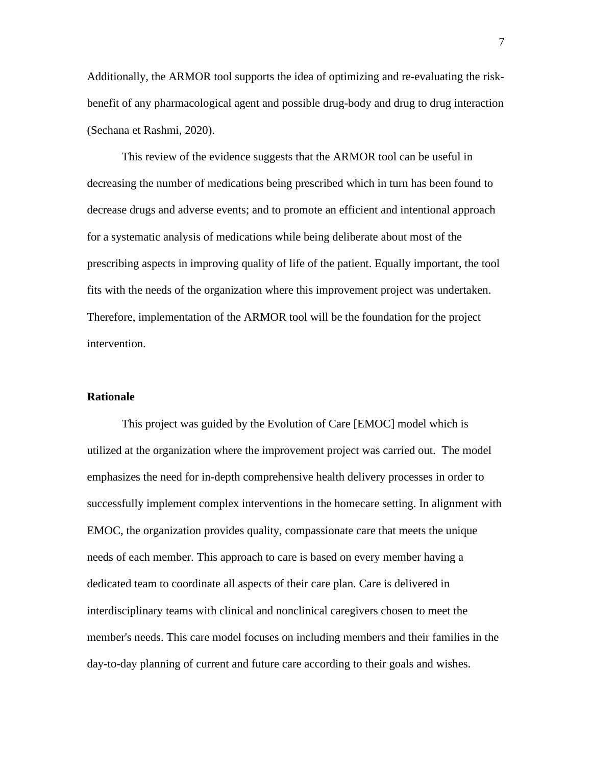Additionally, the ARMOR tool supports the idea of optimizing and re-evaluating the riskbenefit of any pharmacological agent and possible drug-body and drug to drug interaction (Sechana et Rashmi, 2020).

This review of the evidence suggests that the ARMOR tool can be useful in decreasing the number of medications being prescribed which in turn has been found to decrease drugs and adverse events; and to promote an efficient and intentional approach for a systematic analysis of medications while being deliberate about most of the prescribing aspects in improving quality of life of the patient. Equally important, the tool fits with the needs of the organization where this improvement project was undertaken. Therefore, implementation of the ARMOR tool will be the foundation for the project intervention.

#### **Rationale**

This project was guided by the Evolution of Care [EMOC] model which is utilized at the organization where the improvement project was carried out. The model emphasizes the need for in-depth comprehensive health delivery processes in order to successfully implement complex interventions in the homecare setting. In alignment with EMOC, the organization provides quality, compassionate care that meets the unique needs of each member. This approach to care is based on every member having a dedicated team to coordinate all aspects of their care plan. Care is delivered in interdisciplinary teams with clinical and nonclinical caregivers chosen to meet the member's needs. This care model focuses on including members and their families in the day-to-day planning of current and future care according to their goals and wishes.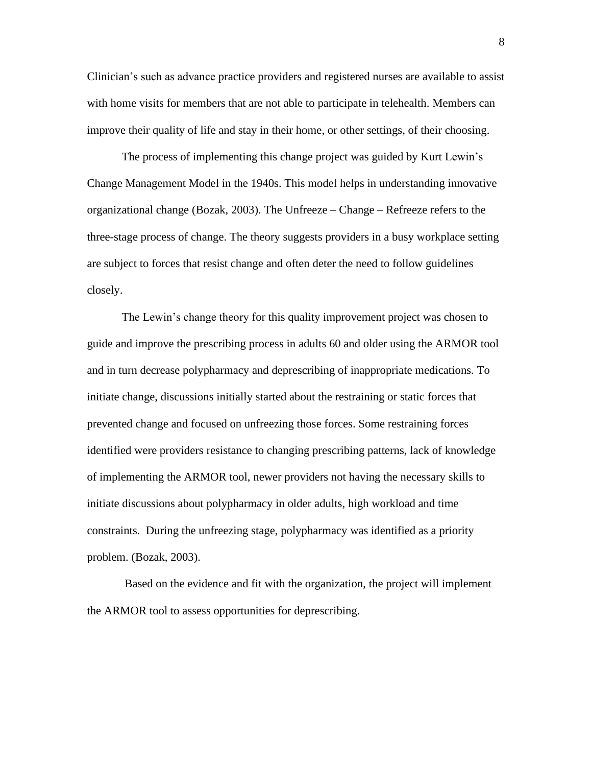Clinician's such as advance practice providers and registered nurses are available to assist with home visits for members that are not able to participate in telehealth. Members can improve their quality of life and stay in their home, or other settings, of their choosing.

The process of implementing this change project was guided by Kurt Lewin's Change Management Model in the 1940s. This model helps in understanding innovative organizational change (Bozak, 2003). The Unfreeze – Change – Refreeze refers to the three-stage process of change. The theory suggests providers in a busy workplace setting are subject to forces that resist change and often deter the need to follow guidelines closely.

The Lewin's change theory for this quality improvement project was chosen to guide and improve the prescribing process in adults 60 and older using the ARMOR tool and in turn decrease polypharmacy and deprescribing of inappropriate medications. To initiate change, discussions initially started about the restraining or static forces that prevented change and focused on unfreezing those forces. Some restraining forces identified were providers resistance to changing prescribing patterns, lack of knowledge of implementing the ARMOR tool, newer providers not having the necessary skills to initiate discussions about polypharmacy in older adults, high workload and time constraints. During the unfreezing stage, polypharmacy was identified as a priority problem. (Bozak, 2003).

Based on the evidence and fit with the organization, the project will implement the ARMOR tool to assess opportunities for deprescribing.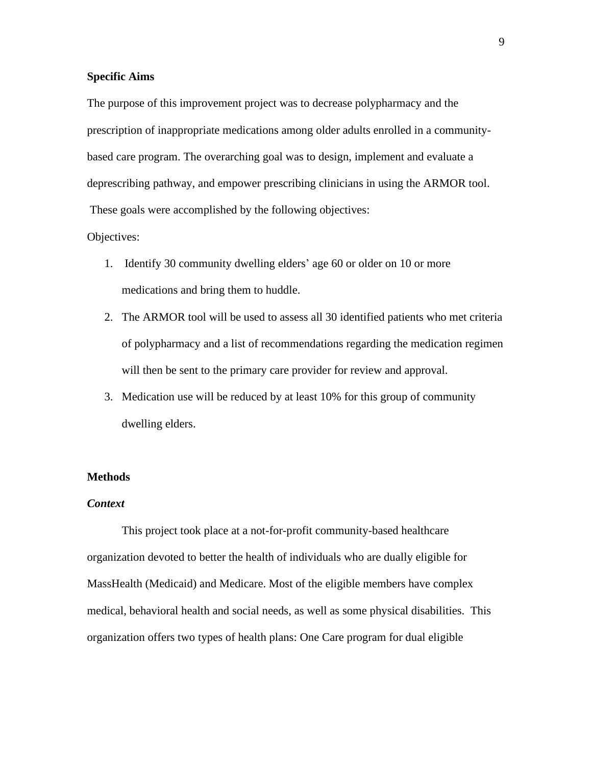#### **Specific Aims**

The purpose of this improvement project was to decrease polypharmacy and the prescription of inappropriate medications among older adults enrolled in a communitybased care program. The overarching goal was to design, implement and evaluate a deprescribing pathway, and empower prescribing clinicians in using the ARMOR tool. These goals were accomplished by the following objectives:

#### Objectives:

- 1. Identify 30 community dwelling elders' age 60 or older on 10 or more medications and bring them to huddle.
- 2. The ARMOR tool will be used to assess all 30 identified patients who met criteria of polypharmacy and a list of recommendations regarding the medication regimen will then be sent to the primary care provider for review and approval.
- 3. Medication use will be reduced by at least 10% for this group of community dwelling elders.

#### **Methods**

#### *Context*

This project took place at a not-for-profit community-based healthcare organization devoted to better the health of individuals who are dually eligible for MassHealth (Medicaid) and Medicare. Most of the eligible members have complex medical, behavioral health and social needs, as well as some physical disabilities. This organization offers two types of health plans: One Care program for dual eligible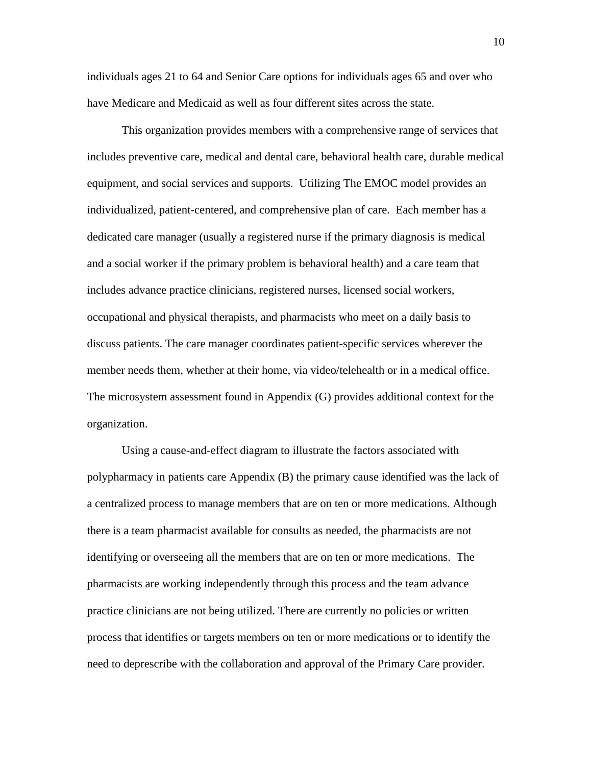individuals ages 21 to 64 and Senior Care options for individuals ages 65 and over who have Medicare and Medicaid as well as four different sites across the state.

This organization provides members with a comprehensive range of services that includes preventive care, medical and dental care, behavioral health care, durable medical equipment, and social services and supports. Utilizing The EMOC model provides an individualized, patient-centered, and comprehensive plan of care. Each member has a dedicated care manager (usually a registered nurse if the primary diagnosis is medical and a social worker if the primary problem is behavioral health) and a care team that includes advance practice clinicians, registered nurses, licensed social workers, occupational and physical therapists, and pharmacists who meet on a daily basis to discuss patients. The care manager coordinates patient-specific services wherever the member needs them, whether at their home, via video/telehealth or in a medical office. The microsystem assessment found in Appendix (G) provides additional context for the organization.

Using a cause-and-effect diagram to illustrate the factors associated with polypharmacy in patients care Appendix (B) the primary cause identified was the lack of a centralized process to manage members that are on ten or more medications. Although there is a team pharmacist available for consults as needed, the pharmacists are not identifying or overseeing all the members that are on ten or more medications. The pharmacists are working independently through this process and the team advance practice clinicians are not being utilized. There are currently no policies or written process that identifies or targets members on ten or more medications or to identify the need to deprescribe with the collaboration and approval of the Primary Care provider.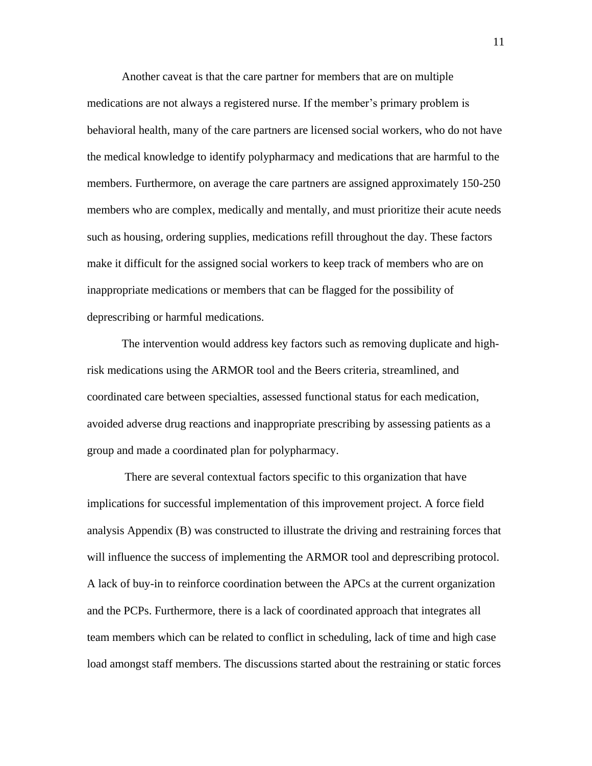Another caveat is that the care partner for members that are on multiple medications are not always a registered nurse. If the member's primary problem is behavioral health, many of the care partners are licensed social workers, who do not have the medical knowledge to identify polypharmacy and medications that are harmful to the members. Furthermore, on average the care partners are assigned approximately 150-250 members who are complex, medically and mentally, and must prioritize their acute needs such as housing, ordering supplies, medications refill throughout the day. These factors make it difficult for the assigned social workers to keep track of members who are on inappropriate medications or members that can be flagged for the possibility of deprescribing or harmful medications.

The intervention would address key factors such as removing duplicate and highrisk medications using the ARMOR tool and the Beers criteria, streamlined, and coordinated care between specialties, assessed functional status for each medication, avoided adverse drug reactions and inappropriate prescribing by assessing patients as a group and made a coordinated plan for polypharmacy.

There are several contextual factors specific to this organization that have implications for successful implementation of this improvement project. A force field analysis Appendix (B) was constructed to illustrate the driving and restraining forces that will influence the success of implementing the ARMOR tool and deprescribing protocol. A lack of buy-in to reinforce coordination between the APCs at the current organization and the PCPs. Furthermore, there is a lack of coordinated approach that integrates all team members which can be related to conflict in scheduling, lack of time and high case load amongst staff members. The discussions started about the restraining or static forces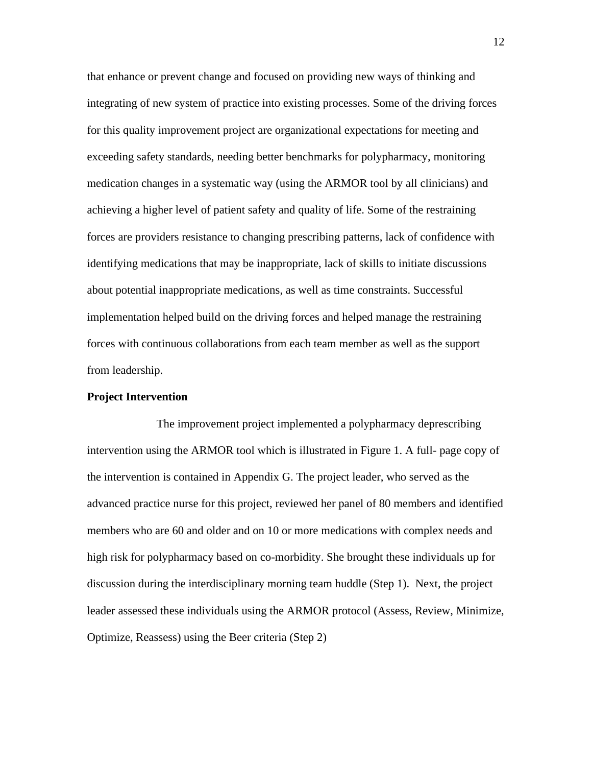that enhance or prevent change and focused on providing new ways of thinking and integrating of new system of practice into existing processes. Some of the driving forces for this quality improvement project are organizational expectations for meeting and exceeding safety standards, needing better benchmarks for polypharmacy, monitoring medication changes in a systematic way (using the ARMOR tool by all clinicians) and achieving a higher level of patient safety and quality of life. Some of the restraining forces are providers resistance to changing prescribing patterns, lack of confidence with identifying medications that may be inappropriate, lack of skills to initiate discussions about potential inappropriate medications, as well as time constraints. Successful implementation helped build on the driving forces and helped manage the restraining forces with continuous collaborations from each team member as well as the support from leadership.

#### **Project Intervention**

The improvement project implemented a polypharmacy deprescribing intervention using the ARMOR tool which is illustrated in Figure 1. A full- page copy of the intervention is contained in Appendix G. The project leader, who served as the advanced practice nurse for this project, reviewed her panel of 80 members and identified members who are 60 and older and on 10 or more medications with complex needs and high risk for polypharmacy based on co-morbidity. She brought these individuals up for discussion during the interdisciplinary morning team huddle (Step 1). Next, the project leader assessed these individuals using the ARMOR protocol (Assess, Review, Minimize, Optimize, Reassess) using the Beer criteria (Step 2)

12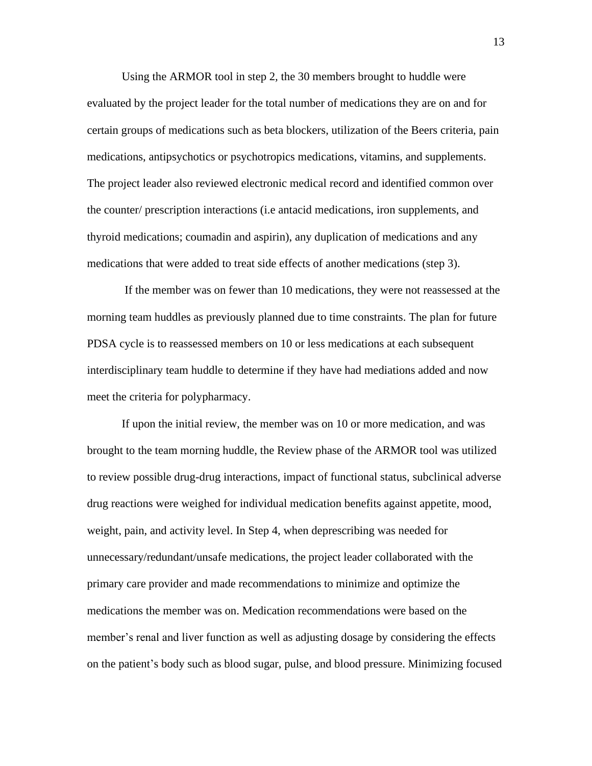Using the ARMOR tool in step 2*,* the 30 members brought to huddle were evaluated by the project leader for the total number of medications they are on and for certain groups of medications such as beta blockers, utilization of the Beers criteria, pain medications, antipsychotics or psychotropics medications, vitamins, and supplements. The project leader also reviewed electronic medical record and identified common over the counter/ prescription interactions (i.e antacid medications, iron supplements, and thyroid medications; coumadin and aspirin), any duplication of medications and any medications that were added to treat side effects of another medications (step 3).

If the member was on fewer than 10 medications, they were not reassessed at the morning team huddles as previously planned due to time constraints. The plan for future PDSA cycle is to reassessed members on 10 or less medications at each subsequent interdisciplinary team huddle to determine if they have had mediations added and now meet the criteria for polypharmacy.

If upon the initial review, the member was on 10 or more medication, and was brought to the team morning huddle, the Review phase of the ARMOR tool was utilized to review possible drug-drug interactions, impact of functional status, subclinical adverse drug reactions were weighed for individual medication benefits against appetite, mood, weight, pain, and activity level. In Step 4, when deprescribing was needed for unnecessary/redundant/unsafe medications, the project leader collaborated with the primary care provider and made recommendations to minimize and optimize the medications the member was on. Medication recommendations were based on the member's renal and liver function as well as adjusting dosage by considering the effects on the patient's body such as blood sugar, pulse, and blood pressure. Minimizing focused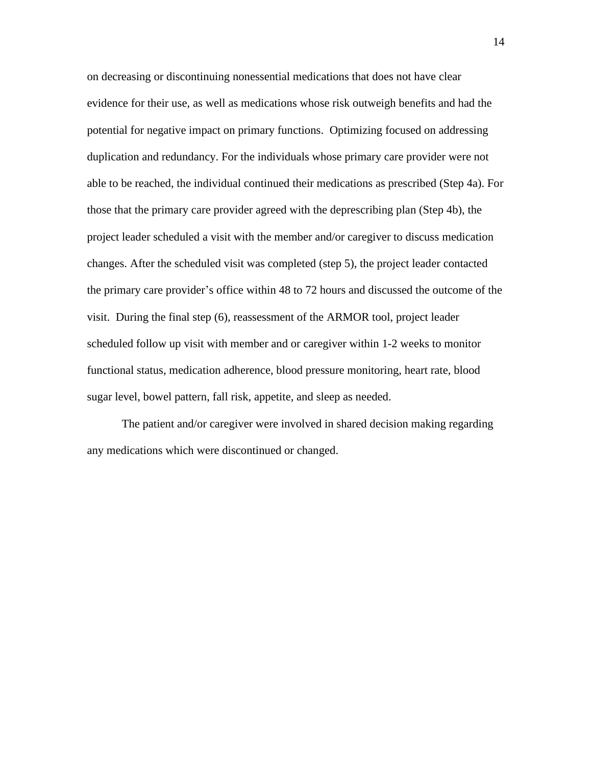on decreasing or discontinuing nonessential medications that does not have clear evidence for their use, as well as medications whose risk outweigh benefits and had the potential for negative impact on primary functions. Optimizing focused on addressing duplication and redundancy. For the individuals whose primary care provider were not able to be reached, the individual continued their medications as prescribed (Step 4a). For those that the primary care provider agreed with the deprescribing plan (Step 4b), the project leader scheduled a visit with the member and/or caregiver to discuss medication changes. After the scheduled visit was completed (step 5), the project leader contacted the primary care provider's office within 48 to 72 hours and discussed the outcome of the visit. During the final step (6), reassessment of the ARMOR tool, project leader scheduled follow up visit with member and or caregiver within 1-2 weeks to monitor functional status, medication adherence, blood pressure monitoring, heart rate, blood sugar level, bowel pattern, fall risk, appetite, and sleep as needed.

The patient and/or caregiver were involved in shared decision making regarding any medications which were discontinued or changed.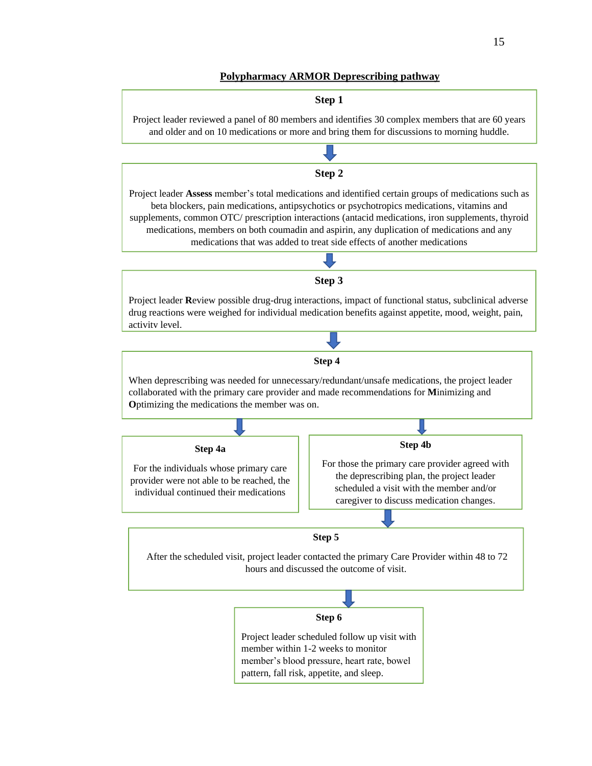#### **Polypharmacy ARMOR Deprescribing pathway**

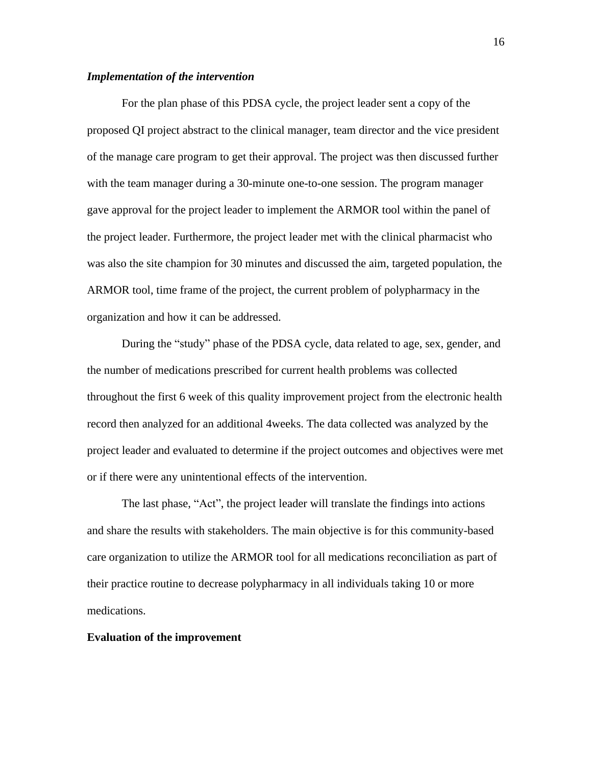#### *Implementation of the intervention*

For the plan phase of this PDSA cycle, the project leader sent a copy of the proposed QI project abstract to the clinical manager, team director and the vice president of the manage care program to get their approval. The project was then discussed further with the team manager during a 30-minute one-to-one session. The program manager gave approval for the project leader to implement the ARMOR tool within the panel of the project leader. Furthermore, the project leader met with the clinical pharmacist who was also the site champion for 30 minutes and discussed the aim, targeted population, the ARMOR tool, time frame of the project, the current problem of polypharmacy in the organization and how it can be addressed.

During the "study" phase of the PDSA cycle, data related to age, sex, gender, and the number of medications prescribed for current health problems was collected throughout the first 6 week of this quality improvement project from the electronic health record then analyzed for an additional 4weeks. The data collected was analyzed by the project leader and evaluated to determine if the project outcomes and objectives were met or if there were any unintentional effects of the intervention.

The last phase, "Act", the project leader will translate the findings into actions and share the results with stakeholders. The main objective is for this community-based care organization to utilize the ARMOR tool for all medications reconciliation as part of their practice routine to decrease polypharmacy in all individuals taking 10 or more medications.

#### **Evaluation of the improvement**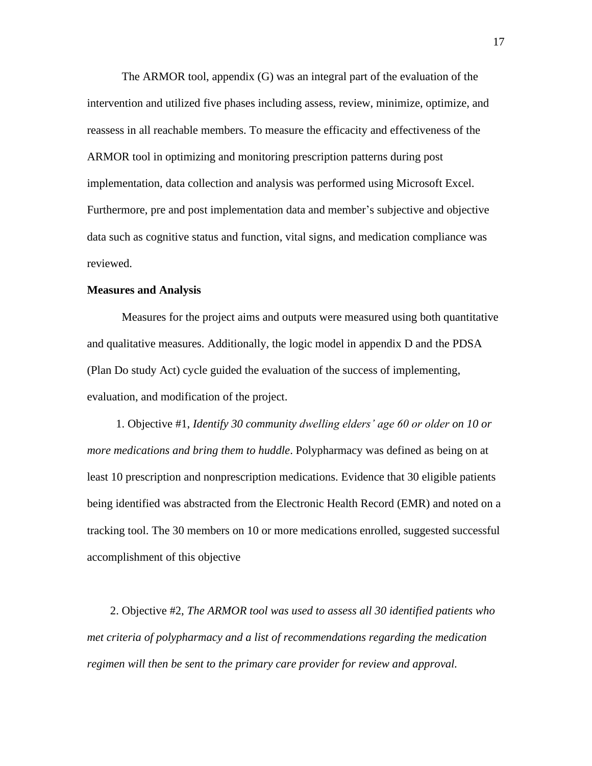The ARMOR tool, appendix (G) was an integral part of the evaluation of the intervention and utilized five phases including assess, review, minimize, optimize, and reassess in all reachable members. To measure the efficacity and effectiveness of the ARMOR tool in optimizing and monitoring prescription patterns during post implementation, data collection and analysis was performed using Microsoft Excel. Furthermore, pre and post implementation data and member's subjective and objective data such as cognitive status and function, vital signs, and medication compliance was reviewed.

### **Measures and Analysis**

Measures for the project aims and outputs were measured using both quantitative and qualitative measures. Additionally, the logic model in appendix D and the PDSA (Plan Do study Act) cycle guided the evaluation of the success of implementing, evaluation, and modification of the project.

 1. Objective #1, *Identify 30 community dwelling elders' age 60 or older on 10 or more medications and bring them to huddle*. Polypharmacy was defined as being on at least 10 prescription and nonprescription medications. Evidence that 30 eligible patients being identified was abstracted from the Electronic Health Record (EMR) and noted on a tracking tool. The 30 members on 10 or more medications enrolled, suggested successful accomplishment of this objective

 2. Objective #2, *The ARMOR tool was used to assess all 30 identified patients who met criteria of polypharmacy and a list of recommendations regarding the medication regimen will then be sent to the primary care provider for review and approval.*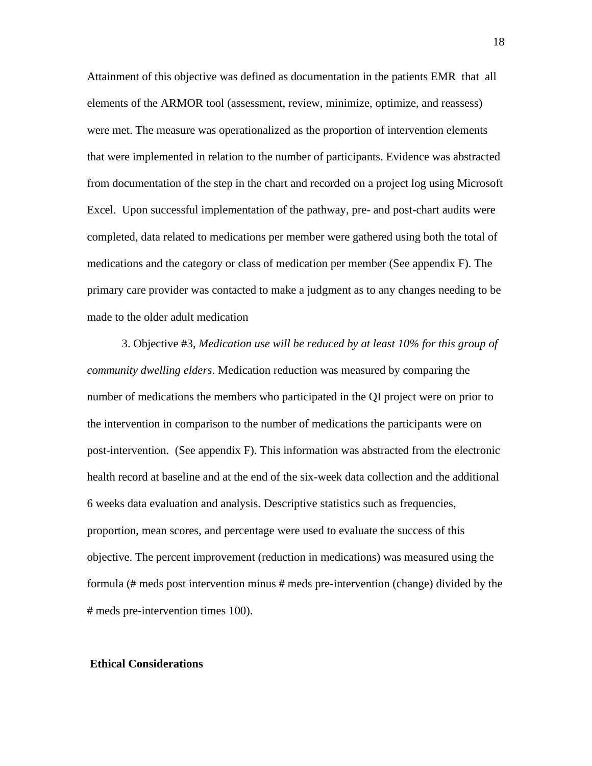Attainment of this objective was defined as documentation in the patients EMR that all elements of the ARMOR tool (assessment, review, minimize, optimize, and reassess) were met. The measure was operationalized as the proportion of intervention elements that were implemented in relation to the number of participants. Evidence was abstracted from documentation of the step in the chart and recorded on a project log using Microsoft Excel. Upon successful implementation of the pathway, pre- and post-chart audits were completed, data related to medications per member were gathered using both the total of medications and the category or class of medication per member (See appendix F). The primary care provider was contacted to make a judgment as to any changes needing to be made to the older adult medication

3. Objective #3, *Medication use will be reduced by at least 10% for this group of community dwelling elders*. Medication reduction was measured by comparing the number of medications the members who participated in the QI project were on prior to the intervention in comparison to the number of medications the participants were on post-intervention. (See appendix F). This information was abstracted from the electronic health record at baseline and at the end of the six-week data collection and the additional 6 weeks data evaluation and analysis. Descriptive statistics such as frequencies, proportion, mean scores, and percentage were used to evaluate the success of this objective. The percent improvement (reduction in medications) was measured using the formula (# meds post intervention minus # meds pre-intervention (change) divided by the # meds pre-intervention times 100).

#### **Ethical Considerations**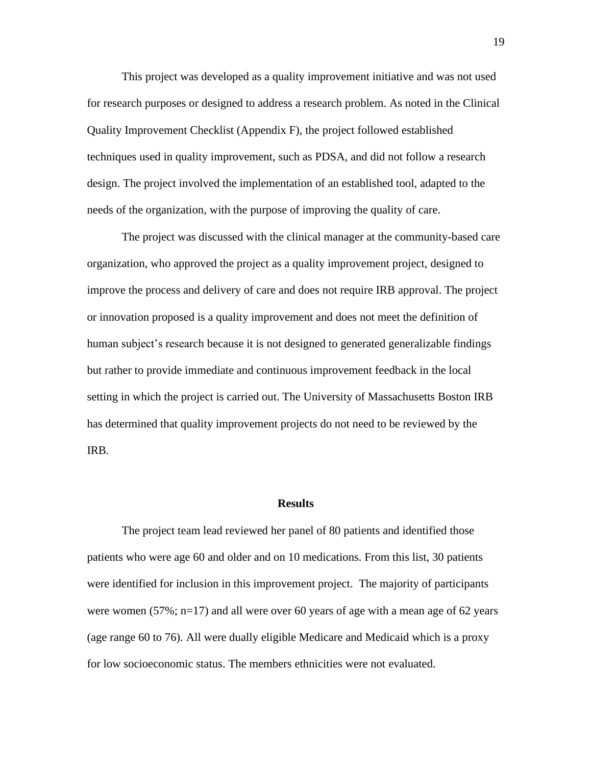This project was developed as a quality improvement initiative and was not used for research purposes or designed to address a research problem. As noted in the Clinical Quality Improvement Checklist (Appendix F), the project followed established techniques used in quality improvement, such as PDSA, and did not follow a research design. The project involved the implementation of an established tool, adapted to the needs of the organization, with the purpose of improving the quality of care.

The project was discussed with the clinical manager at the community-based care organization, who approved the project as a quality improvement project, designed to improve the process and delivery of care and does not require IRB approval. The project or innovation proposed is a quality improvement and does not meet the definition of human subject's research because it is not designed to generated generalizable findings but rather to provide immediate and continuous improvement feedback in the local setting in which the project is carried out. The University of Massachusetts Boston IRB has determined that quality improvement projects do not need to be reviewed by the IRB.

#### **Results**

The project team lead reviewed her panel of 80 patients and identified those patients who were age 60 and older and on 10 medications. From this list, 30 patients were identified for inclusion in this improvement project. The majority of participants were women  $(57\%; n=17)$  and all were over 60 years of age with a mean age of 62 years (age range 60 to 76). All were dually eligible Medicare and Medicaid which is a proxy for low socioeconomic status. The members ethnicities were not evaluated.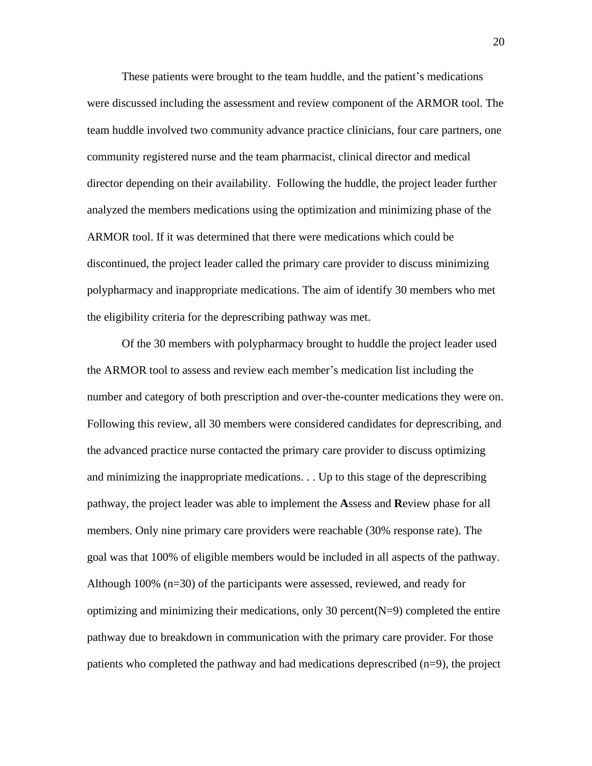These patients were brought to the team huddle, and the patient's medications were discussed including the assessment and review component of the ARMOR tool. The team huddle involved two community advance practice clinicians, four care partners, one community registered nurse and the team pharmacist, clinical director and medical director depending on their availability. Following the huddle, the project leader further analyzed the members medications using the optimization and minimizing phase of the ARMOR tool. If it was determined that there were medications which could be discontinued, the project leader called the primary care provider to discuss minimizing polypharmacy and inappropriate medications. The aim of identify 30 members who met the eligibility criteria for the deprescribing pathway was met.

Of the 30 members with polypharmacy brought to huddle the project leader used the ARMOR tool to assess and review each member's medication list including the number and category of both prescription and over-the-counter medications they were on. Following this review, all 30 members were considered candidates for deprescribing, and the advanced practice nurse contacted the primary care provider to discuss optimizing and minimizing the inappropriate medications. . . Up to this stage of the deprescribing pathway, the project leader was able to implement the **A**ssess and **R**eview phase for all members. Only nine primary care providers were reachable (30% response rate). The goal was that 100% of eligible members would be included in all aspects of the pathway. Although 100% (n=30) of the participants were assessed, reviewed, and ready for optimizing and minimizing their medications, only 30 percent  $(N=9)$  completed the entire pathway due to breakdown in communication with the primary care provider. For those patients who completed the pathway and had medications deprescribed (n=9), the project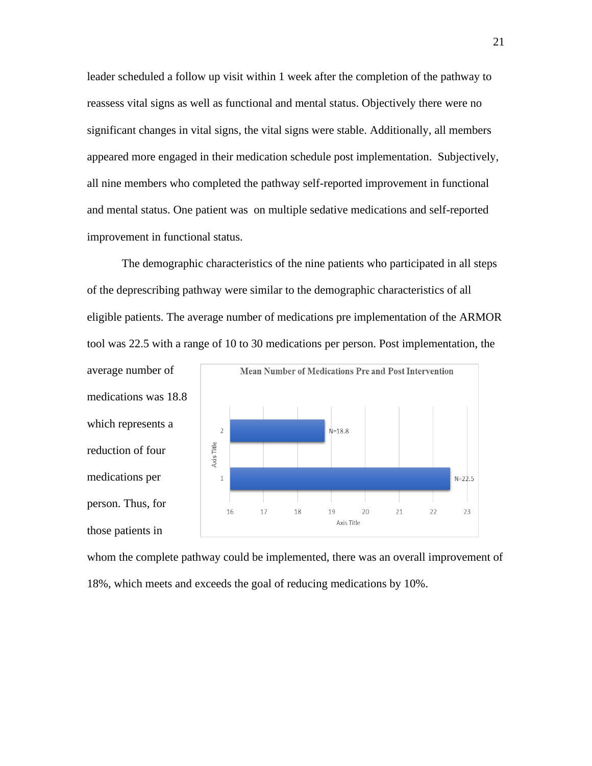leader scheduled a follow up visit within 1 week after the completion of the pathway to reassess vital signs as well as functional and mental status. Objectively there were no significant changes in vital signs, the vital signs were stable. Additionally, all members appeared more engaged in their medication schedule post implementation. Subjectively, all nine members who completed the pathway self-reported improvement in functional and mental status. One patient was on multiple sedative medications and self-reported improvement in functional status.

The demographic characteristics of the nine patients who participated in all steps of the deprescribing pathway were similar to the demographic characteristics of all eligible patients. The average number of medications pre implementation of the ARMOR tool was 22.5 with a range of 10 to 30 medications per person. Post implementation, the



whom the complete pathway could be implemented, there was an overall improvement of 18%, which meets and exceeds the goal of reducing medications by 10%.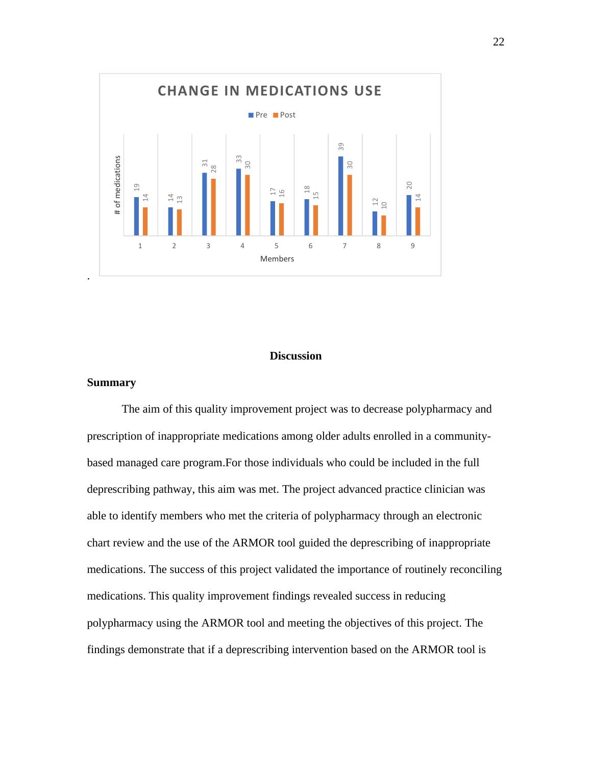

#### **Discussion**

#### **Summary**

The aim of this quality improvement project was to decrease polypharmacy and prescription of inappropriate medications among older adults enrolled in a communitybased managed care program.For those individuals who could be included in the full deprescribing pathway, this aim was met. The project advanced practice clinician was able to identify members who met the criteria of polypharmacy through an electronic chart review and the use of the ARMOR tool guided the deprescribing of inappropriate medications. The success of this project validated the importance of routinely reconciling medications. This quality improvement findings revealed success in reducing polypharmacy using the ARMOR tool and meeting the objectives of this project. The findings demonstrate that if a deprescribing intervention based on the ARMOR tool is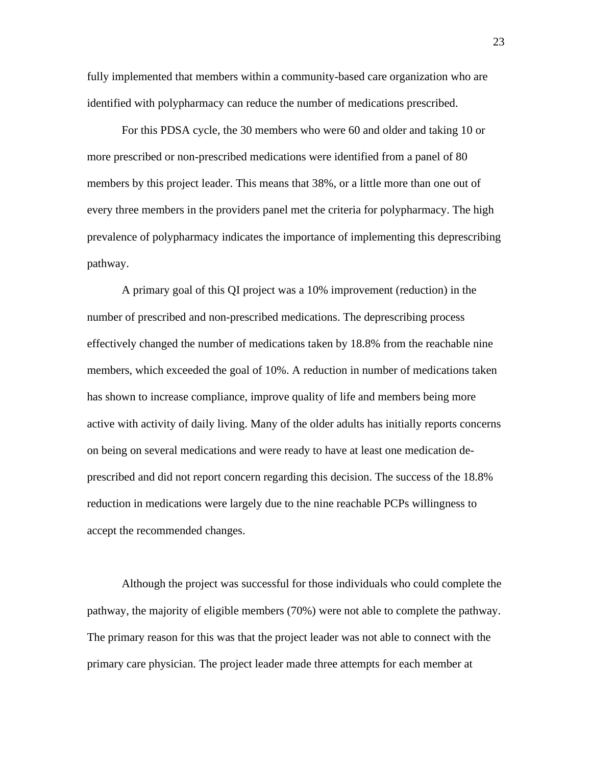fully implemented that members within a community-based care organization who are identified with polypharmacy can reduce the number of medications prescribed.

For this PDSA cycle, the 30 members who were 60 and older and taking 10 or more prescribed or non-prescribed medications were identified from a panel of 80 members by this project leader. This means that 38%, or a little more than one out of every three members in the providers panel met the criteria for polypharmacy. The high prevalence of polypharmacy indicates the importance of implementing this deprescribing pathway.

A primary goal of this QI project was a 10% improvement (reduction) in the number of prescribed and non-prescribed medications. The deprescribing process effectively changed the number of medications taken by 18.8% from the reachable nine members, which exceeded the goal of 10%. A reduction in number of medications taken has shown to increase compliance, improve quality of life and members being more active with activity of daily living. Many of the older adults has initially reports concerns on being on several medications and were ready to have at least one medication deprescribed and did not report concern regarding this decision. The success of the 18.8% reduction in medications were largely due to the nine reachable PCPs willingness to accept the recommended changes.

Although the project was successful for those individuals who could complete the pathway, the majority of eligible members (70%) were not able to complete the pathway. The primary reason for this was that the project leader was not able to connect with the primary care physician. The project leader made three attempts for each member at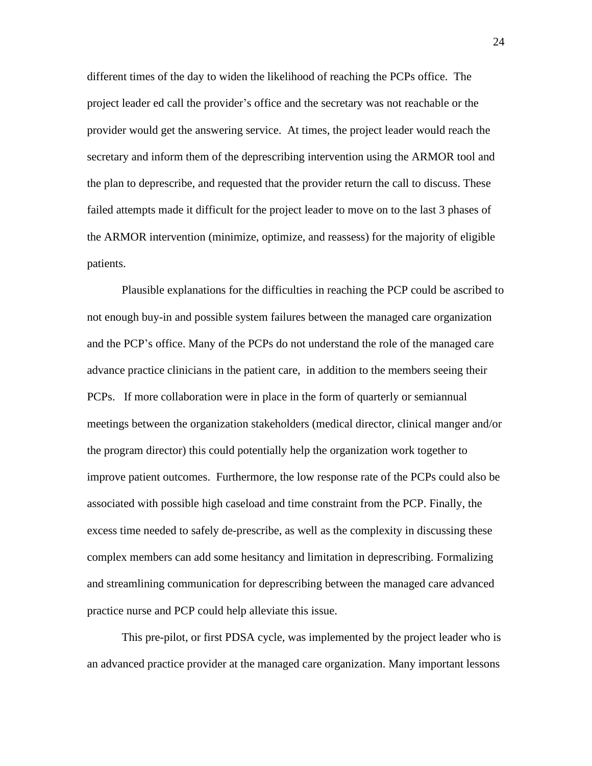different times of the day to widen the likelihood of reaching the PCPs office. The project leader ed call the provider's office and the secretary was not reachable or the provider would get the answering service. At times, the project leader would reach the secretary and inform them of the deprescribing intervention using the ARMOR tool and the plan to deprescribe, and requested that the provider return the call to discuss. These failed attempts made it difficult for the project leader to move on to the last 3 phases of the ARMOR intervention (minimize, optimize, and reassess) for the majority of eligible patients.

Plausible explanations for the difficulties in reaching the PCP could be ascribed to not enough buy-in and possible system failures between the managed care organization and the PCP's office. Many of the PCPs do not understand the role of the managed care advance practice clinicians in the patient care, in addition to the members seeing their PCPs. If more collaboration were in place in the form of quarterly or semiannual meetings between the organization stakeholders (medical director, clinical manger and/or the program director) this could potentially help the organization work together to improve patient outcomes. Furthermore, the low response rate of the PCPs could also be associated with possible high caseload and time constraint from the PCP. Finally, the excess time needed to safely de-prescribe, as well as the complexity in discussing these complex members can add some hesitancy and limitation in deprescribing. Formalizing and streamlining communication for deprescribing between the managed care advanced practice nurse and PCP could help alleviate this issue.

This pre-pilot, or first PDSA cycle, was implemented by the project leader who is an advanced practice provider at the managed care organization. Many important lessons

24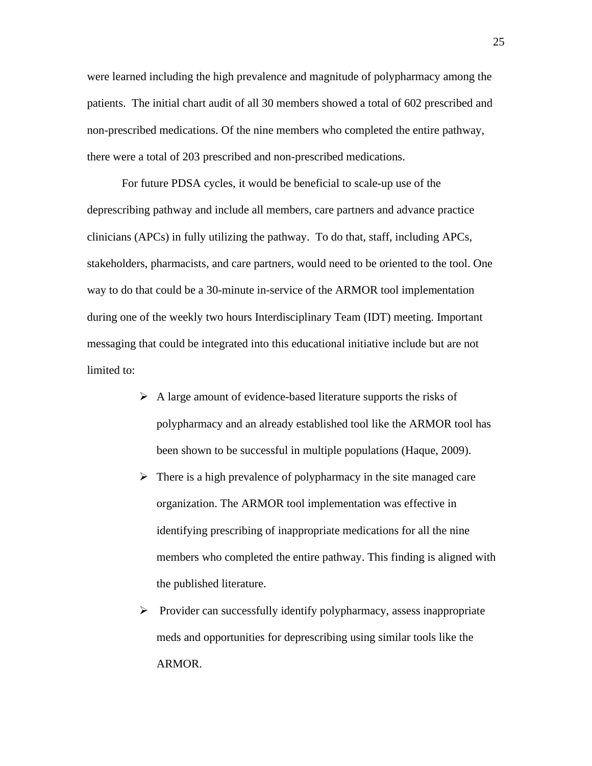were learned including the high prevalence and magnitude of polypharmacy among the patients. The initial chart audit of all 30 members showed a total of 602 prescribed and non-prescribed medications. Of the nine members who completed the entire pathway, there were a total of 203 prescribed and non-prescribed medications.

For future PDSA cycles, it would be beneficial to scale-up use of the deprescribing pathway and include all members, care partners and advance practice clinicians (APCs) in fully utilizing the pathway. To do that, staff, including APCs, stakeholders, pharmacists, and care partners, would need to be oriented to the tool. One way to do that could be a 30-minute in-service of the ARMOR tool implementation during one of the weekly two hours Interdisciplinary Team (IDT) meeting. Important messaging that could be integrated into this educational initiative include but are not limited to:

- ➢ A large amount of evidence-based literature supports the risks of polypharmacy and an already established tool like the ARMOR tool has been shown to be successful in multiple populations (Haque, 2009).
- $\triangleright$  There is a high prevalence of polypharmacy in the site managed care organization. The ARMOR tool implementation was effective in identifying prescribing of inappropriate medications for all the nine members who completed the entire pathway. This finding is aligned with the published literature.
- ➢ Provider can successfully identify polypharmacy, assess inappropriate meds and opportunities for deprescribing using similar tools like the ARMOR.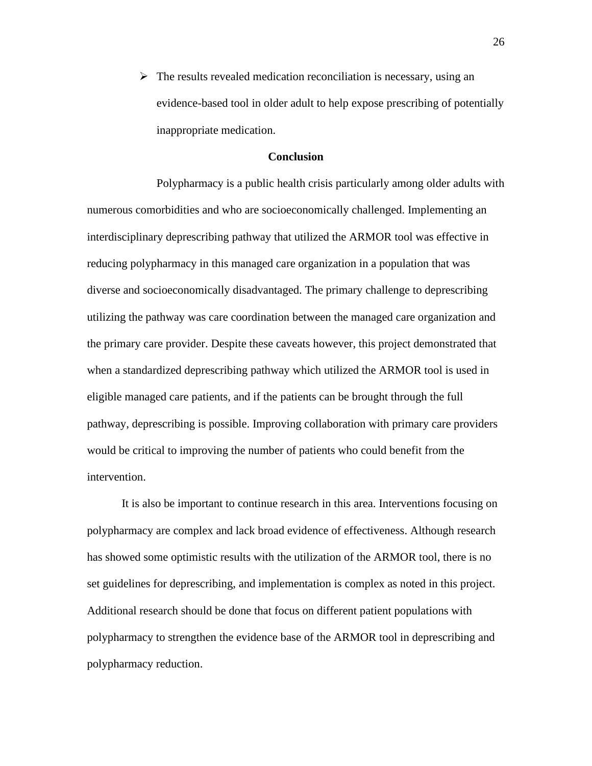$\triangleright$  The results revealed medication reconciliation is necessary, using an evidence-based tool in older adult to help expose prescribing of potentially inappropriate medication.

#### **Conclusion**

Polypharmacy is a public health crisis particularly among older adults with numerous comorbidities and who are socioeconomically challenged. Implementing an interdisciplinary deprescribing pathway that utilized the ARMOR tool was effective in reducing polypharmacy in this managed care organization in a population that was diverse and socioeconomically disadvantaged. The primary challenge to deprescribing utilizing the pathway was care coordination between the managed care organization and the primary care provider. Despite these caveats however, this project demonstrated that when a standardized deprescribing pathway which utilized the ARMOR tool is used in eligible managed care patients, and if the patients can be brought through the full pathway, deprescribing is possible. Improving collaboration with primary care providers would be critical to improving the number of patients who could benefit from the intervention.

It is also be important to continue research in this area. Interventions focusing on polypharmacy are complex and lack broad evidence of effectiveness. Although research has showed some optimistic results with the utilization of the ARMOR tool, there is no set guidelines for deprescribing, and implementation is complex as noted in this project. Additional research should be done that focus on different patient populations with polypharmacy to strengthen the evidence base of the ARMOR tool in deprescribing and polypharmacy reduction.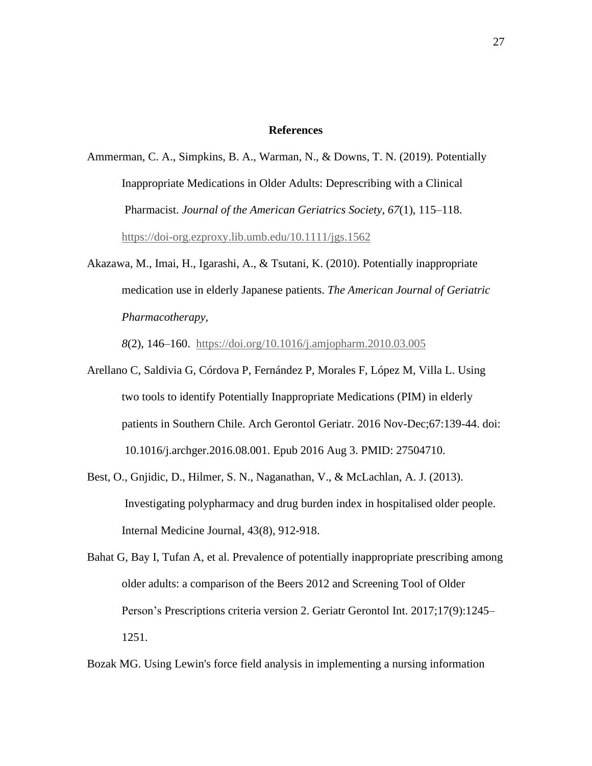#### **References**

- Ammerman, C. A., Simpkins, B. A., Warman, N., & Downs, T. N. (2019). Potentially Inappropriate Medications in Older Adults: Deprescribing with a Clinical Pharmacist. *Journal of the American Geriatrics Society*, *67*(1), 115–118. <https://doi-org.ezproxy.lib.umb.edu/10.1111/jgs.1562>
- Akazawa, M., Imai, H., Igarashi, A., & Tsutani, K. (2010). Potentially inappropriate medication use in elderly Japanese patients. *The American Journal of Geriatric Pharmacotherapy,*

*8*(2), 146–160. <https://doi.org/10.1016/j.amjopharm.2010.03.005>

- Arellano C, Saldivia G, Córdova P, Fernández P, Morales F, López M, Villa L. Using two tools to identify Potentially Inappropriate Medications (PIM) in elderly patients in Southern Chile. Arch Gerontol Geriatr. 2016 Nov-Dec;67:139-44. doi: 10.1016/j.archger.2016.08.001. Epub 2016 Aug 3. PMID: 27504710.
- Best, O., Gnjidic, D., Hilmer, S. N., Naganathan, V., & McLachlan, A. J. (2013). Investigating polypharmacy and drug burden index in hospitalised older people. Internal Medicine Journal, 43(8), 912-918.
- Bahat G, Bay I, Tufan A, et al. Prevalence of potentially inappropriate prescribing among older adults: a comparison of the Beers 2012 and Screening Tool of Older Person's Prescriptions criteria version 2. Geriatr Gerontol Int. 2017;17(9):1245– 1251.

Bozak MG. Using Lewin's force field analysis in implementing a nursing information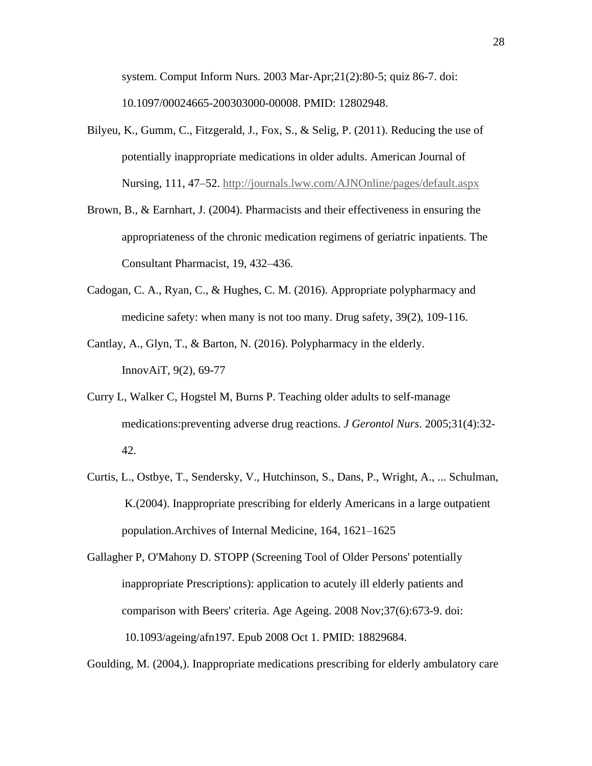system. Comput Inform Nurs. 2003 Mar-Apr;21(2):80-5; quiz 86-7. doi: 10.1097/00024665-200303000-00008. PMID: 12802948.

- Bilyeu, K., Gumm, C., Fitzgerald, J., Fox, S., & Selig, P. (2011). Reducing the use of potentially inappropriate medications in older adults. American Journal of Nursing, 111, 47–52. <http://journals.lww.com/AJNOnline/pages/default.aspx>
- Brown, B., & Earnhart, J. (2004). Pharmacists and their effectiveness in ensuring the appropriateness of the chronic medication regimens of geriatric inpatients. The Consultant Pharmacist, 19, 432–436.
- Cadogan, C. A., Ryan, C., & Hughes, C. M. (2016). Appropriate polypharmacy and medicine safety: when many is not too many. Drug safety, 39(2), 109-116.
- Cantlay, A., Glyn, T., & Barton, N. (2016). Polypharmacy in the elderly. InnovAiT, 9(2), 69-77
- Curry L, Walker C, Hogstel M, Burns P. Teaching older adults to self-manage medications:preventing adverse drug reactions. *J Gerontol Nurs*. 2005;31(4):32- 42.
- Curtis, L., Ostbye, T., Sendersky, V., Hutchinson, S., Dans, P., Wright, A., ... Schulman, K.(2004). Inappropriate prescribing for elderly Americans in a large outpatient population.Archives of Internal Medicine, 164, 1621–1625

Gallagher P, O'Mahony D. STOPP (Screening Tool of Older Persons' potentially inappropriate Prescriptions): application to acutely ill elderly patients and comparison with Beers' criteria. Age Ageing. 2008 Nov;37(6):673-9. doi: 10.1093/ageing/afn197. Epub 2008 Oct 1. PMID: 18829684.

Goulding, M. (2004,). Inappropriate medications prescribing for elderly ambulatory care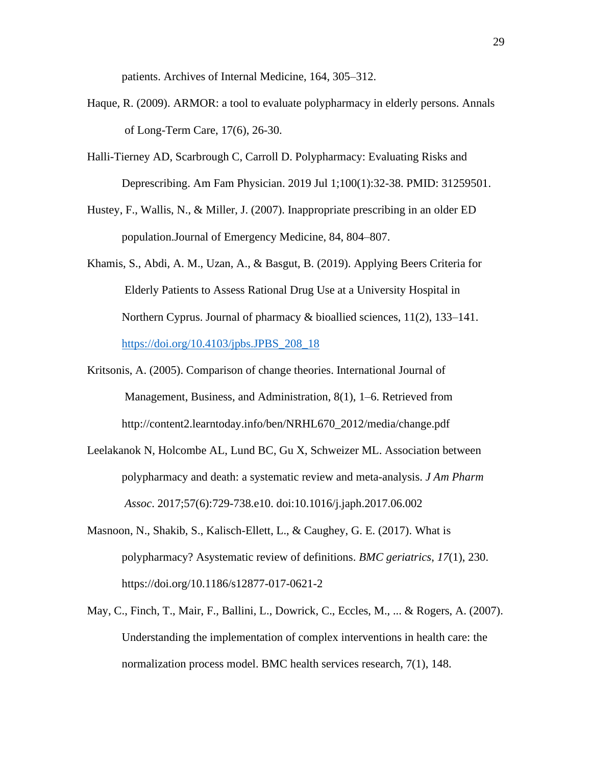patients. Archives of Internal Medicine, 164, 305–312.

- Haque, R. (2009). ARMOR: a tool to evaluate polypharmacy in elderly persons. Annals of Long-Term Care, 17(6), 26-30.
- Halli-Tierney AD, Scarbrough C, Carroll D. Polypharmacy: Evaluating Risks and Deprescribing. Am Fam Physician. 2019 Jul 1;100(1):32-38. PMID: 31259501.
- Hustey, F., Wallis, N., & Miller, J. (2007). Inappropriate prescribing in an older ED population.Journal of Emergency Medicine, 84, 804–807.
- Khamis, S., Abdi, A. M., Uzan, A., & Basgut, B. (2019). Applying Beers Criteria for Elderly Patients to Assess Rational Drug Use at a University Hospital in Northern Cyprus. Journal of pharmacy & bioallied sciences, 11(2), 133–141. [https://doi.org/10.4103/jpbs.JPBS\\_208\\_18](https://doi.org/10.4103/jpbs.JPBS_208_18)
- Kritsonis, A. (2005). Comparison of change theories. International Journal of Management, Business, and Administration, 8(1), 1–6. Retrieved from http://content2.learntoday.info/ben/NRHL670\_2012/media/change.pdf
- Leelakanok N, Holcombe AL, Lund BC, Gu X, Schweizer ML. Association between polypharmacy and death: a systematic review and meta-analysis. *J Am Pharm Assoc*. 2017;57(6):729-738.e10. doi:10.1016/j.japh.2017.06.002
- Masnoon, N., Shakib, S., Kalisch-Ellett, L., & Caughey, G. E. (2017). What is polypharmacy? Asystematic review of definitions. *BMC geriatrics*, *17*(1), 230. https://doi.org/10.1186/s12877-017-0621-2
- May, C., Finch, T., Mair, F., Ballini, L., Dowrick, C., Eccles, M., ... & Rogers, A. (2007). Understanding the implementation of complex interventions in health care: the normalization process model. BMC health services research, 7(1), 148.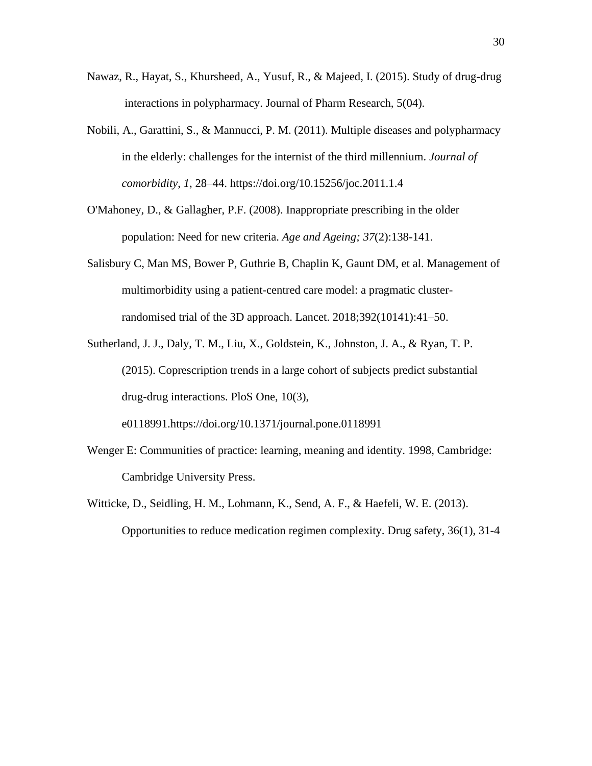- Nawaz, R., Hayat, S., Khursheed, A., Yusuf, R., & Majeed, I. (2015). Study of drug-drug interactions in polypharmacy. Journal of Pharm Research, 5(04).
- Nobili, A., Garattini, S., & Mannucci, P. M. (2011). Multiple diseases and polypharmacy in the elderly: challenges for the internist of the third millennium. *Journal of comorbidity*, *1*, 28–44. https://doi.org/10.15256/joc.2011.1.4
- O'Mahoney, D., & Gallagher, P.F. (2008). Inappropriate prescribing in the older population: Need for new criteria. *Age and Ageing; 37*(2):138-141.
- Salisbury C, Man MS, Bower P, Guthrie B, Chaplin K, Gaunt DM, et al. Management of multimorbidity using a patient-centred care model: a pragmatic clusterrandomised trial of the 3D approach. Lancet. 2018;392(10141):41–50.
- Sutherland, J. J., Daly, T. M., Liu, X., Goldstein, K., Johnston, J. A., & Ryan, T. P. (2015). Coprescription trends in a large cohort of subjects predict substantial drug-drug interactions. PloS One, 10(3), e0118991.https://doi.org/10.1371/journal.pone.0118991
- Wenger E: Communities of practice: learning, meaning and identity. 1998, Cambridge: Cambridge University Press.
- Witticke, D., Seidling, H. M., Lohmann, K., Send, A. F., & Haefeli, W. E. (2013). Opportunities to reduce medication regimen complexity. Drug safety, 36(1), 31-4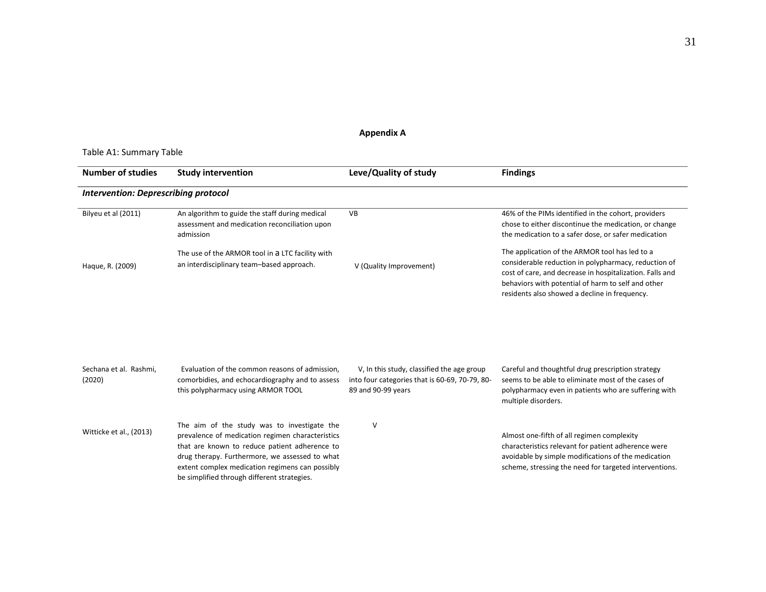#### **Appendix A**

#### Table A1: Summary Table

| <b>Number of studies</b>                    | <b>Study intervention</b>                                                                                                                                                                                                                                                                            | Leve/Quality of study                                                                                              | <b>Findings</b>                                                                                                                                                                                                                                                           |  |  |  |  |
|---------------------------------------------|------------------------------------------------------------------------------------------------------------------------------------------------------------------------------------------------------------------------------------------------------------------------------------------------------|--------------------------------------------------------------------------------------------------------------------|---------------------------------------------------------------------------------------------------------------------------------------------------------------------------------------------------------------------------------------------------------------------------|--|--|--|--|
| <b>Intervention: Deprescribing protocol</b> |                                                                                                                                                                                                                                                                                                      |                                                                                                                    |                                                                                                                                                                                                                                                                           |  |  |  |  |
| Bilyeu et al (2011)                         | An algorithm to guide the staff during medical<br>assessment and medication reconciliation upon<br>admission                                                                                                                                                                                         | VB                                                                                                                 | 46% of the PIMs identified in the cohort, providers<br>chose to either discontinue the medication, or change<br>the medication to a safer dose, or safer medication                                                                                                       |  |  |  |  |
| Haque, R. (2009)                            | The use of the ARMOR tool in a LTC facility with<br>an interdisciplinary team-based approach.                                                                                                                                                                                                        | V (Quality Improvement)                                                                                            | The application of the ARMOR tool has led to a<br>considerable reduction in polypharmacy, reduction of<br>cost of care, and decrease in hospitalization. Falls and<br>behaviors with potential of harm to self and other<br>residents also showed a decline in frequency. |  |  |  |  |
|                                             |                                                                                                                                                                                                                                                                                                      |                                                                                                                    |                                                                                                                                                                                                                                                                           |  |  |  |  |
| Sechana et al. Rashmi,<br>(2020)            | Evaluation of the common reasons of admission.<br>comorbidies, and echocardiography and to assess<br>this polypharmacy using ARMOR TOOL                                                                                                                                                              | V, In this study, classified the age group<br>into four categories that is 60-69, 70-79, 80-<br>89 and 90-99 years | Careful and thoughtful drug prescription strategy<br>seems to be able to eliminate most of the cases of<br>polypharmacy even in patients who are suffering with<br>multiple disorders.                                                                                    |  |  |  |  |
| Witticke et al., (2013)                     | The aim of the study was to investigate the<br>prevalence of medication regimen characteristics<br>that are known to reduce patient adherence to<br>drug therapy. Furthermore, we assessed to what<br>extent complex medication regimens can possibly<br>be simplified through different strategies. | ٧                                                                                                                  | Almost one-fifth of all regimen complexity<br>characteristics relevant for patient adherence were<br>avoidable by simple modifications of the medication<br>scheme, stressing the need for targeted interventions.                                                        |  |  |  |  |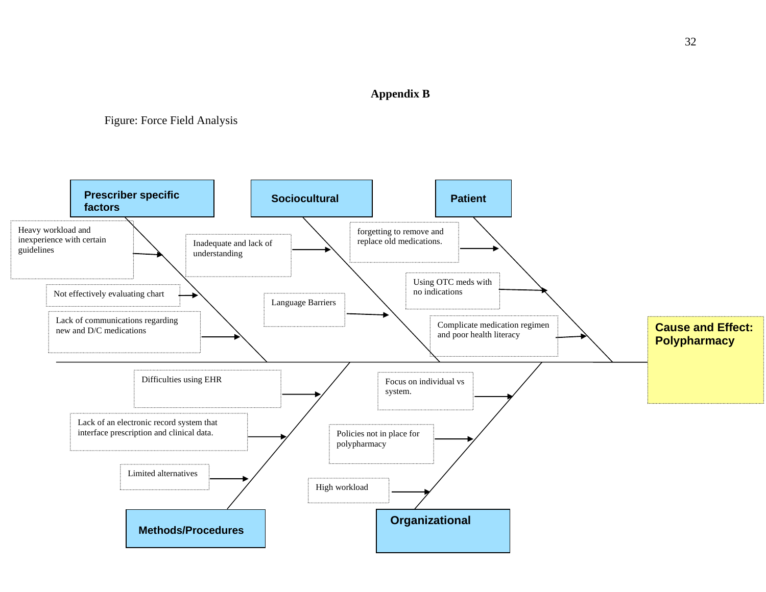#### **Appendix B**

# Figure: Force Field Analysis

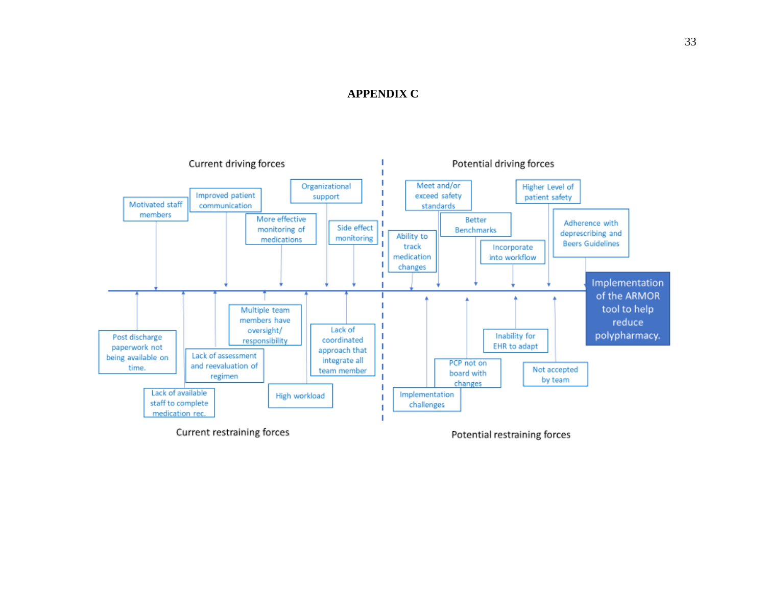#### **APPENDIX C**

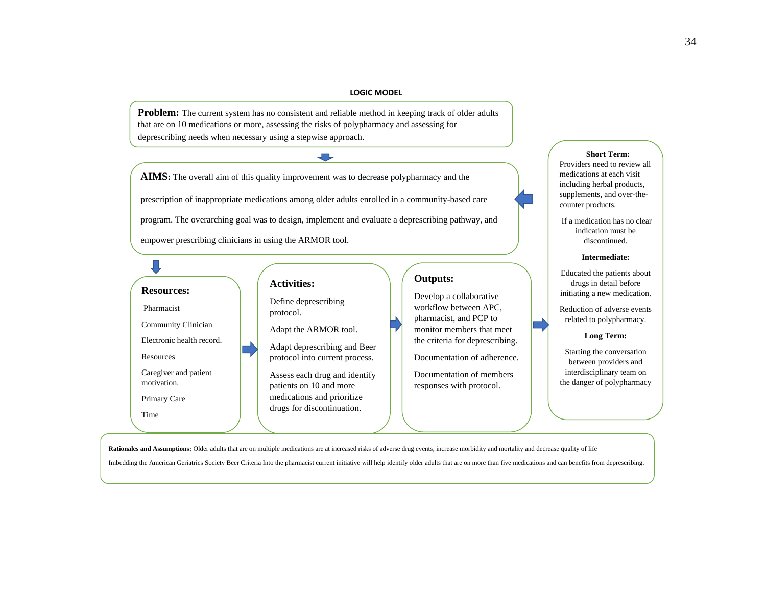#### **LOGIC MODEL**

**Problem:** The current system has no consistent and reliable method in keeping track of older adults that are on 10 medications or more, assessing the risks of polypharmacy and assessing for deprescribing needs when necessary using a stepwise approach.

 $\overline{\phantom{a}}$ 

**AIMS:** The overall aim of this quality improvement was to decrease polypharmacy and the prescription of inappropriate medications among older adults enrolled in a community-based care program. The overarching goal was to design, implement and evaluate a deprescribing pathway, and empower prescribing clinicians in using the ARMOR tool.

#### $\Box$ **Outputs: Activities: Resources:** Develop a collaborative Define deprescribing workflow between APC, Pharmacist protocol. pharmacist, and PCP to Community Clinician Adapt the ARMOR tool. monitor members that meet Electronic health record. the criteria for deprescribing. Adapt deprescribing and Beer Resources protocol into current process. Documentation of adherence. Caregiver and patient Documentation of members Assess each drug and identify motivation. patients on 10 and more responses with protocol. medications and prioritize Primary Care drugs for discontinuation. Time

Rationales and Assumptions: Older adults that are on multiple medications are at increased risks of adverse drug events, increase morbidity and mortality and decrease quality of life Imbedding the American Geriatrics Society Beer Criteria Into the pharmacist current initiative will help identify older adults that are on more than five medications and can benefits from deprescribing.

#### Providers need to review all medications at each visit

**Short Term:**

including herbal products, supplements, and over-thecounter products.

If a medication has no clear indication must be discontinued.

#### **Intermediate:**

Educated the patients about drugs in detail before initiating a new medication.

Reduction of adverse events related to polypharmacy.

#### **Long Term:**

Starting the conversation between providers and interdisciplinary team on the danger of polypharmacy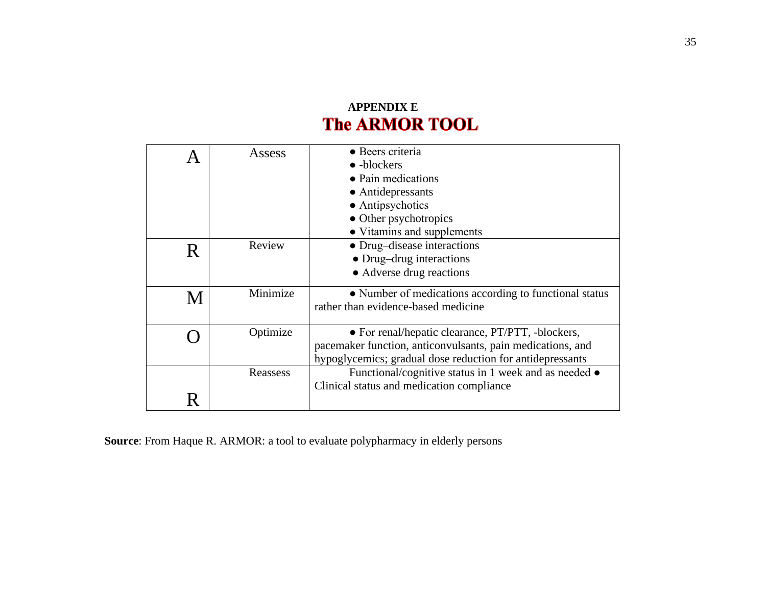# **APPENDIX E**<br>**The ARMOR TOOL**

|   | Assess   | • Beers criteria<br>$\bullet$ -blockers<br>• Pain medications<br>• Antidepressants<br>• Antipsychotics<br>• Other psychotropics<br>• Vitamins and supplements                |
|---|----------|------------------------------------------------------------------------------------------------------------------------------------------------------------------------------|
| R | Review   | • Drug-disease interactions<br>• Drug-drug interactions<br>• Adverse drug reactions                                                                                          |
| М | Minimize | • Number of medications according to functional status<br>rather than evidence-based medicine                                                                                |
|   | Optimize | • For renal/hepatic clearance, PT/PTT, -blockers,<br>pacemaker function, anticonvulsants, pain medications, and<br>hypoglycemics; gradual dose reduction for antidepressants |
|   | Reassess | Functional/cognitive status in 1 week and as needed •<br>Clinical status and medication compliance                                                                           |

**Source**: From Haque R. ARMOR: a tool to evaluate polypharmacy in elderly persons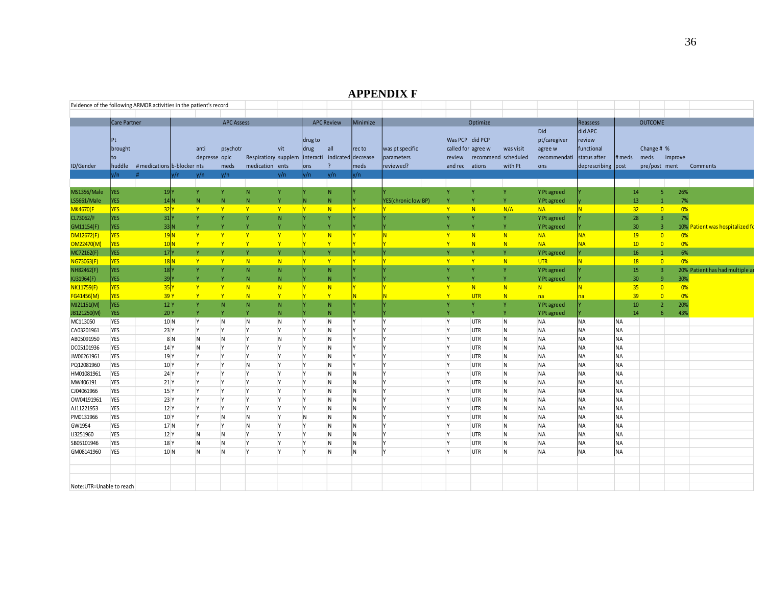#### **APPENDIX F**

|                          |                | Evidence of the following ARMOR activities in the patient's record |               |                   |                 |                         |                                                   |          |                     |                           |            |                              |                           |                    |                     |                |                          |                                 |
|--------------------------|----------------|--------------------------------------------------------------------|---------------|-------------------|-----------------|-------------------------|---------------------------------------------------|----------|---------------------|---------------------------|------------|------------------------------|---------------------------|--------------------|---------------------|----------------|--------------------------|---------------------------------|
|                          |                |                                                                    |               |                   |                 |                         |                                                   |          |                     |                           |            |                              |                           |                    |                     |                |                          |                                 |
|                          | Care Partner   |                                                                    |               | <b>APC Assess</b> |                 |                         | <b>APC Review</b>                                 | Minimize |                     |                           | Optimize   |                              |                           | Reassess           |                     | <b>OUTCOME</b> |                          |                                 |
|                          |                |                                                                    |               |                   |                 |                         |                                                   |          |                     |                           |            |                              | Did                       | did APC            |                     |                |                          |                                 |
|                          |                |                                                                    |               |                   |                 |                         | drug to                                           |          |                     | Was PCP did PCP           |            |                              | pt/caregiver              | review             |                     |                |                          |                                 |
|                          | <b>brought</b> |                                                                    | anti          | psychotr          |                 | vit                     | drug<br>all                                       | recto    | was pt specific     |                           |            | called for agree w was visit | agree w                   | functional         |                     | Change # %     |                          |                                 |
|                          |                |                                                                    | depresse opic |                   |                 |                         | Respiratiory supplem interacti indicated decrease |          | parameters          |                           |            | review recommend scheduled   | recommendati status after |                    | # meds meds improve |                |                          |                                 |
| ID/Gender                |                | huddle #medications b-blocker nts                                  |               | meds              | medication ents |                         | lons<br>$\overline{?}$                            | meds     | reviewed?           | and rec ations            |            | with Pt                      | ons                       | deprescribing post |                     |                |                          | pre/post ment Comments          |
|                          |                |                                                                    | v/n           | v/n               |                 | v/n                     | v/n                                               |          |                     |                           |            |                              |                           |                    |                     |                |                          |                                 |
|                          |                |                                                                    |               |                   |                 |                         |                                                   |          |                     |                           |            |                              |                           |                    |                     |                | <b>Contract Contract</b> |                                 |
| MS1356/Male              | <b>YES</b>     | 19 <sup>Y</sup>                                                    |               |                   | N               |                         | N                                                 |          |                     |                           |            | Y                            | Y Pt agreed               |                    | 14                  |                | 5 26%                    |                                 |
| LS5661/Male              | <b>YES</b>     |                                                                    |               |                   |                 |                         | N                                                 |          | YES(chronic low BP) |                           |            |                              | Y Pt agreed               |                    | 13                  |                | 7%                       |                                 |
| <b>MK4670(F</b>          | <b>YES</b>     | 32 <sup>N</sup>                                                    | $\mathbf{V}$  | $\mathbf{v}$      | $\mathbf{V}$    | $\mathbf{y}$            | $\blacksquare$                                    |          |                     | <b>V</b> V                | N          | N/A                          | NA                        |                    | 32 <sup>2</sup>     | $\overline{0}$ | $-0\%$                   |                                 |
| CL73062/F                |                | $31$ <sup>Y</sup>                                                  |               |                   |                 | - N                     | $\mathbf{V}$                                      |          |                     |                           |            |                              | Y Pt agreed               |                    | 28                  |                | 7%                       |                                 |
| GM11154(F)               | YES .          | 33N                                                                |               |                   |                 |                         | $\mathbf{v}$                                      |          |                     |                           |            |                              | Y Pt agreed               |                    | 30 <sup>2</sup>     |                |                          | 10% Patient was hospitalized fo |
| DM12672(F)               | <b>YES</b>     | 19N                                                                |               |                   |                 | $\mathbf{Y}$            | $\blacksquare$ N                                  |          |                     | $\mathbf{v}$              | N          | N                            | <b>NA</b>                 | <b>NA</b>          | 19                  | $\sqrt{0}$     | $-0\%$                   |                                 |
| OM22470(M)               | <b>YES</b>     | 10 <sub>N</sub>                                                    |               |                   |                 | $\mathbf{v}$            | $\mathbf{Y}$                                      |          |                     | $\mathbf{Y}$              | N          | N                            | NA                        | NΔ                 | 10                  | $\overline{0}$ | $-0\%$                   |                                 |
| MC72162(F)               | <b>YES</b>     | 17 <sup>Y</sup>                                                    |               |                   |                 |                         | $\mathbf{V}$                                      |          |                     |                           |            |                              | Y Pt agreed               |                    | 16                  |                | 6%                       |                                 |
| NG73063(F)               | <b>YES</b>     | 18N                                                                |               | $\mathbf{v}$      | $-N$            | $\blacksquare$          | $\mathbf{Y}$                                      |          |                     | $\mathsf{Y}$ $\mathsf{Y}$ |            | N                            | UTR                       |                    | 18                  |                | $0\qquad 0\%$            |                                 |
| NH82462(F)               | <b>YES</b>     | $18$ <sup>Y</sup>                                                  |               |                   | -N              | N                       | N                                                 |          |                     |                           |            | Y                            | Y Pt agreed               |                    | 15                  |                |                          | 20% Patient has had multiple a  |
| KJ31964(F)               | <b>YES</b>     | 39 <sub>Y</sub>                                                    |               |                   |                 |                         | N                                                 |          |                     |                           |            |                              | Y Pt agreed               |                    | 30 <sup>°</sup>     |                | 30%                      |                                 |
| <b>NK11759(F)</b>        | <b>YES</b>     | 35 Y                                                               |               | $\mathbf{v}$      | N               | N                       | $\blacksquare$ N                                  |          |                     | $\mathbf{v}$              | N          | N                            | N                         |                    | 35 <sub>2</sub>     |                | $-0%$                    |                                 |
| FG41456(M)               | <b>YES</b>     | 39 Y                                                               |               | $\mathbf{Y}$      | N               | $- Y$                   | Y                                                 |          |                     | Y                         | <b>UTR</b> | N                            | na                        |                    | 39                  |                | 0%                       |                                 |
|                          |                |                                                                    |               |                   |                 |                         |                                                   |          |                     |                           |            |                              |                           |                    |                     |                | 20%                      |                                 |
| MJ21151(M)               | YES            | 12 Y                                                               |               |                   | - N             | - N<br>N                | N<br>N                                            |          |                     |                           |            | Y                            | Y Pt agreed               |                    | 10<br>14            |                | 43%                      |                                 |
| JB121250(M)              | <b>YES</b>     | 20 Y                                                               |               |                   |                 |                         |                                                   |          |                     |                           | Y          | Y                            | Y Pt agreed               |                    |                     | -6             |                          |                                 |
| MC113050                 | <b>YES</b>     | 10N                                                                | Y             | N                 | $\overline{N}$  | $\overline{N}$          | $\overline{N}$                                    |          |                     | Y                         | UTR        | $\overline{N}$               | <b>NA</b>                 | <b>NA</b>          | <b>NA</b>           |                |                          |                                 |
| CA03201961               | <b>YES</b>     | 23 Y                                                               |               | $\mathsf{v}$      |                 | $\mathsf{V}$            | N.                                                |          |                     |                           | UTR        | $\overline{N}$               | <b>NA</b>                 |                    |                     |                |                          |                                 |
| AB05091950               | <b>YES</b>     | 8N                                                                 |               | <sup>N</sup>      | $\mathsf{V}$    | $\overline{\mathsf{N}}$ | $\overline{N}$                                    |          |                     | $\mathsf{I}\mathsf{v}$    | UTR        | $\overline{N}$               | <b>NA</b>                 | <b>NA</b>          | <b>NA</b>           |                |                          |                                 |
| DC05101936               | <b>YES</b>     | 14 Y                                                               | - N           | $\mathsf{V}$      | ∣V              | $\mathsf{Y}$            | IN.                                               |          |                     |                           | UTR        | $\overline{N}$               | <b>NA</b>                 | <b>NA</b>          |                     |                |                          |                                 |
| JW06261961               | <b>YES</b>     | 19 Y                                                               |               | $\mathsf{V}$      | $\mathsf{v}$    | $\mathsf{Y}$            | IN.                                               |          |                     | ΙV                        | <b>UTR</b> | $\overline{N}$               | <b>NA</b>                 | <b>NA</b>          | NA                  |                |                          |                                 |
| PQ12081960               | <b>YES</b>     | 10 Y                                                               |               | -lv               | $\overline{N}$  | $\mathsf{Y}$            | $\overline{N}$                                    |          |                     |                           | UTR        | $\overline{N}$               | <b>NA</b>                 | <b>NA</b>          | NA                  |                |                          |                                 |
| HM01081961               | <b>YES</b>     | 24 Y                                                               |               | $\mathsf{v}$      | $\mathsf{v}$    | $\mathsf{Y}$            | $\overline{N}$                                    |          |                     |                           | UTR        | $\overline{N}$               | <b>NA</b>                 | <b>NA</b>          |                     |                |                          |                                 |
| MW406191                 | <b>YES</b>     | 21Y                                                                |               | $\mathsf{V}$      | $\mathsf{v}$    | $\mathsf{V}$            | IN.                                               |          |                     | ΙV                        | UTR        | $\overline{N}$               | <b>NA</b>                 | NΔ                 |                     |                |                          |                                 |
| CJ04061966               | <b>YES</b>     | 15 <sup>Y</sup>                                                    |               | $\mathsf{V}$      | $\mathsf{V}$    | $\mathsf{Y}$            | $\overline{N}$                                    |          |                     | $\mathsf{I}\mathsf{V}$    | UTR        | $\overline{N}$               | <b>NA</b>                 | NΔ                 | <b>NA</b>           |                |                          |                                 |
| OW04191961               | <b>YES</b>     | 23 Y                                                               |               | $\mathsf{V}$      | ∣γ              | $\mathsf{Y}$            | $\mathsf{N}$                                      |          |                     | ΙV                        | UTR        | $\overline{N}$               | <b>NA</b>                 | <b>NA</b>          |                     |                |                          |                                 |
| AJ11221953               | <b>YES</b>     | 12 Y                                                               |               | $\mathsf{V}$      | $\mathsf{v}$    | $\mathsf{Y}$            | $\overline{N}$                                    |          |                     | $\mathsf{I}\mathsf{V}$    | UTR        | $\overline{N}$               | <b>NA</b>                 | NΔ                 |                     |                |                          |                                 |
| PM0131966                | <b>YES</b>     | 10 <sup>Y</sup>                                                    |               | $\mathsf{N}$      | $\overline{N}$  | $\mathsf{Y}$            | IN.                                               |          |                     |                           | UTR        | $\overline{N}$               | <b>NA</b>                 | NΔ                 |                     |                |                          |                                 |
| GW1954                   | <b>YES</b>     | 17 N                                                               |               | $\mathsf{V}$      | $\overline{N}$  | $\mathsf{Y}$            | $\overline{N}$                                    |          |                     |                           | UTR        | $\overline{N}$               | <b>NA</b>                 | <b>NA</b>          |                     |                |                          |                                 |
| <b>IJ3251960</b>         | <b>YES</b>     | 12 Y                                                               | $\mathsf{N}$  | <b>N</b>          |                 | $\mathsf{V}$            | <b>N</b>                                          |          |                     | ΙV                        | UTR        | $\overline{N}$               | <b>NA</b>                 | NΔ                 |                     |                |                          |                                 |
| SB05101946               | <b>YES</b>     | 18 Y                                                               |               | $\mathsf{N}$      | $\mathsf{V}$    | <b>Y</b>                | <b>N</b>                                          |          |                     |                           | UTR        | $\overline{N}$               | <b>NA</b>                 | <b>NA</b>          | <b>NA</b>           |                |                          |                                 |
| GM08141960 YES           |                | 10 N                                                               | - N           | <b>N</b>          | $\mathsf{V}$    | - IV                    | N.                                                |          |                     |                           | UTR        | $\overline{N}$               | <b>NA</b>                 | <b>NA</b>          |                     |                |                          |                                 |
|                          |                |                                                                    |               |                   |                 |                         |                                                   |          |                     |                           |            |                              |                           |                    |                     |                |                          |                                 |
|                          |                |                                                                    |               |                   |                 |                         |                                                   |          |                     |                           |            |                              |                           |                    |                     |                |                          |                                 |
|                          |                |                                                                    |               |                   |                 |                         |                                                   |          |                     |                           |            |                              |                           |                    |                     |                |                          |                                 |
| Note:UTR=Unable to reach |                |                                                                    |               |                   |                 |                         |                                                   |          |                     |                           |            |                              |                           |                    |                     |                |                          |                                 |
|                          |                |                                                                    |               |                   |                 |                         |                                                   |          |                     |                           |            |                              |                           |                    |                     |                |                          |                                 |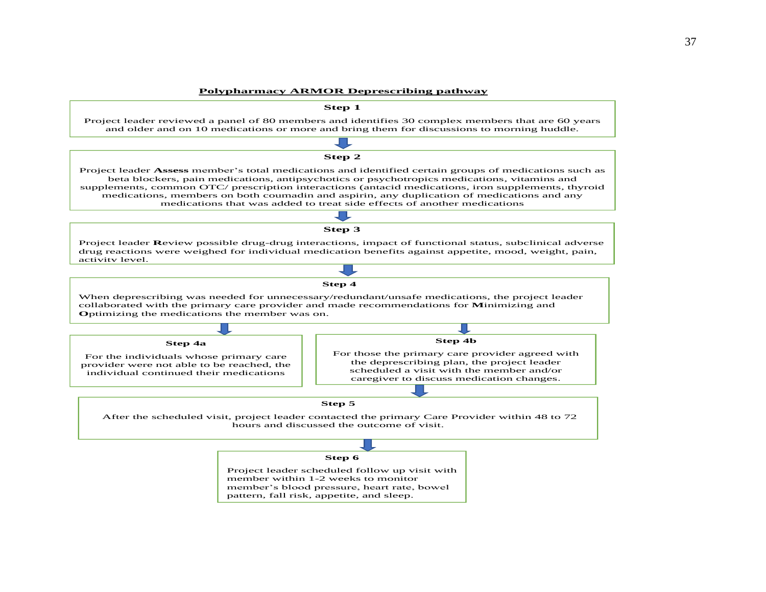#### **Polypharmacy ARMOR Deprescribing pathway**